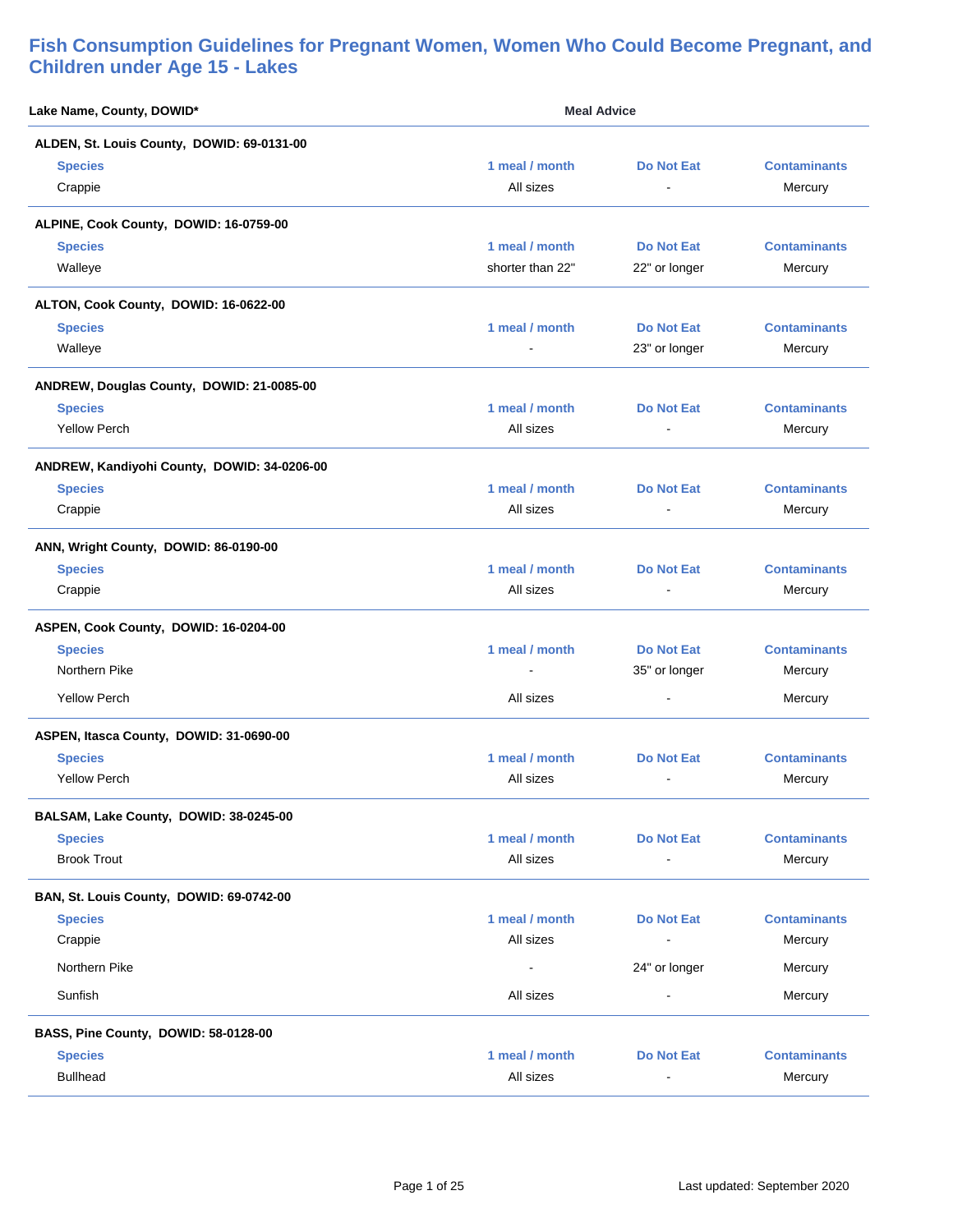| Lake Name, County, DOWID*                   | <b>Meal Advice</b> |                   |                     |
|---------------------------------------------|--------------------|-------------------|---------------------|
| ALDEN, St. Louis County, DOWID: 69-0131-00  |                    |                   |                     |
| <b>Species</b>                              | 1 meal / month     | <b>Do Not Eat</b> | <b>Contaminants</b> |
| Crappie                                     | All sizes          | $\blacksquare$    | Mercury             |
| ALPINE, Cook County, DOWID: 16-0759-00      |                    |                   |                     |
| <b>Species</b>                              | 1 meal / month     | Do Not Eat        | <b>Contaminants</b> |
| Walleye                                     | shorter than 22"   | 22" or longer     | Mercury             |
| ALTON, Cook County, DOWID: 16-0622-00       |                    |                   |                     |
| <b>Species</b>                              | 1 meal / month     | <b>Do Not Eat</b> | <b>Contaminants</b> |
| Walleye                                     |                    | 23" or longer     | Mercury             |
| ANDREW, Douglas County, DOWID: 21-0085-00   |                    |                   |                     |
| <b>Species</b>                              | 1 meal / month     | Do Not Eat        | <b>Contaminants</b> |
| <b>Yellow Perch</b>                         | All sizes          | $\blacksquare$    | Mercury             |
| ANDREW, Kandiyohi County, DOWID: 34-0206-00 |                    |                   |                     |
| <b>Species</b>                              | 1 meal / month     | Do Not Eat        | <b>Contaminants</b> |
| Crappie                                     | All sizes          | $\blacksquare$    | Mercury             |
| ANN, Wright County, DOWID: 86-0190-00       |                    |                   |                     |
| <b>Species</b>                              | 1 meal / month     | <b>Do Not Eat</b> | <b>Contaminants</b> |
| Crappie                                     | All sizes          |                   | Mercury             |
| ASPEN, Cook County, DOWID: 16-0204-00       |                    |                   |                     |
| <b>Species</b>                              | 1 meal / month     | <b>Do Not Eat</b> | <b>Contaminants</b> |
| Northern Pike                               |                    | 35" or longer     | Mercury             |
| <b>Yellow Perch</b>                         | All sizes          | $\blacksquare$    | Mercury             |
| ASPEN, Itasca County, DOWID: 31-0690-00     |                    |                   |                     |
| <b>Species</b>                              | 1 meal / month     | <b>Do Not Eat</b> | <b>Contaminants</b> |
| <b>Yellow Perch</b>                         | All sizes          | $\blacksquare$    | Mercury             |
| BALSAM, Lake County, DOWID: 38-0245-00      |                    |                   |                     |
| <b>Species</b>                              | 1 meal / month     | <b>Do Not Eat</b> | <b>Contaminants</b> |
| <b>Brook Trout</b>                          | All sizes          |                   | Mercury             |
| BAN, St. Louis County, DOWID: 69-0742-00    |                    |                   |                     |
| <b>Species</b>                              | 1 meal / month     | <b>Do Not Eat</b> | <b>Contaminants</b> |
| Crappie                                     | All sizes          | $\blacksquare$    | Mercury             |
| Northern Pike                               | $\blacksquare$     | 24" or longer     | Mercury             |
| Sunfish                                     | All sizes          |                   | Mercury             |
| BASS, Pine County, DOWID: 58-0128-00        |                    |                   |                     |
| <b>Species</b>                              | 1 meal / month     | <b>Do Not Eat</b> | <b>Contaminants</b> |
| <b>Bullhead</b>                             | All sizes          | $\blacksquare$    | Mercury             |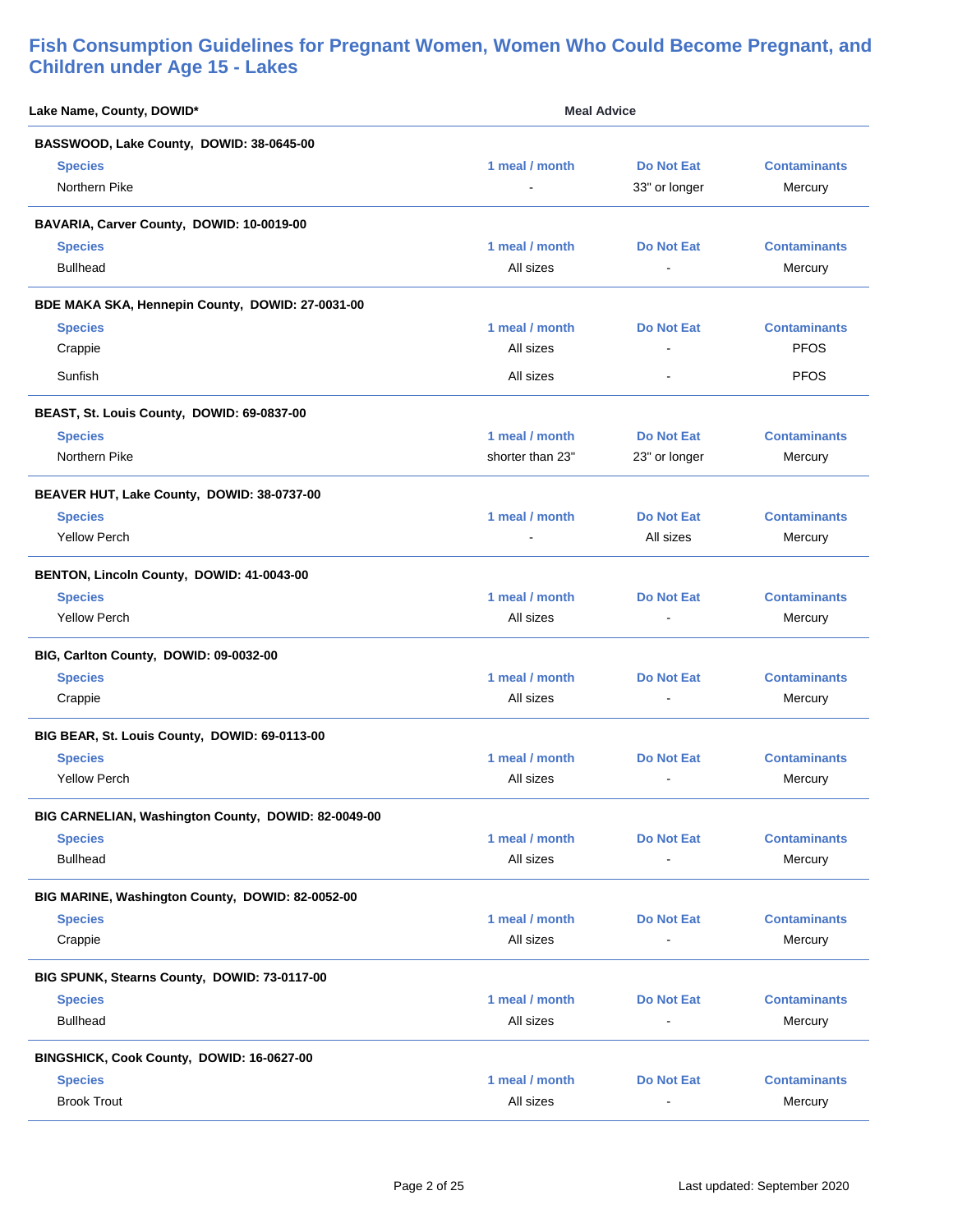| Lake Name, County, DOWID*                           | <b>Meal Advice</b> |                   |                     |
|-----------------------------------------------------|--------------------|-------------------|---------------------|
| BASSWOOD, Lake County, DOWID: 38-0645-00            |                    |                   |                     |
| <b>Species</b>                                      | 1 meal / month     | <b>Do Not Eat</b> | <b>Contaminants</b> |
| Northern Pike                                       |                    | 33" or longer     | Mercury             |
| BAVARIA, Carver County, DOWID: 10-0019-00           |                    |                   |                     |
| <b>Species</b>                                      | 1 meal / month     | <b>Do Not Eat</b> | <b>Contaminants</b> |
| <b>Bullhead</b>                                     | All sizes          | $\blacksquare$    | Mercury             |
| BDE MAKA SKA, Hennepin County, DOWID: 27-0031-00    |                    |                   |                     |
| <b>Species</b>                                      | 1 meal / month     | <b>Do Not Eat</b> | <b>Contaminants</b> |
| Crappie                                             | All sizes          |                   | <b>PFOS</b>         |
| Sunfish                                             | All sizes          | $\blacksquare$    | <b>PFOS</b>         |
| BEAST, St. Louis County, DOWID: 69-0837-00          |                    |                   |                     |
| <b>Species</b>                                      | 1 meal / month     | <b>Do Not Eat</b> | <b>Contaminants</b> |
| Northern Pike                                       | shorter than 23"   | 23" or longer     | Mercury             |
| BEAVER HUT, Lake County, DOWID: 38-0737-00          |                    |                   |                     |
| <b>Species</b>                                      | 1 meal / month     | <b>Do Not Eat</b> | <b>Contaminants</b> |
| <b>Yellow Perch</b>                                 |                    | All sizes         | Mercury             |
| BENTON, Lincoln County, DOWID: 41-0043-00           |                    |                   |                     |
| <b>Species</b>                                      | 1 meal / month     | <b>Do Not Eat</b> | <b>Contaminants</b> |
| <b>Yellow Perch</b>                                 | All sizes          | $\blacksquare$    | Mercury             |
| BIG, Carlton County, DOWID: 09-0032-00              |                    |                   |                     |
| <b>Species</b>                                      | 1 meal / month     | <b>Do Not Eat</b> | <b>Contaminants</b> |
| Crappie                                             | All sizes          |                   | Mercury             |
| BIG BEAR, St. Louis County, DOWID: 69-0113-00       |                    |                   |                     |
| <b>Species</b>                                      | 1 meal / month     | <b>Do Not Eat</b> | <b>Contaminants</b> |
| <b>Yellow Perch</b>                                 | All sizes          | ٠                 | Mercury             |
| BIG CARNELIAN, Washington County, DOWID: 82-0049-00 |                    |                   |                     |
| <b>Species</b>                                      | 1 meal / month     | <b>Do Not Eat</b> | <b>Contaminants</b> |
| <b>Bullhead</b>                                     | All sizes          |                   | Mercury             |
| BIG MARINE, Washington County, DOWID: 82-0052-00    |                    |                   |                     |
| <b>Species</b>                                      | 1 meal / month     | <b>Do Not Eat</b> | <b>Contaminants</b> |
| Crappie                                             | All sizes          |                   | Mercury             |
| BIG SPUNK, Stearns County, DOWID: 73-0117-00        |                    |                   |                     |
| <b>Species</b>                                      | 1 meal / month     | <b>Do Not Eat</b> | <b>Contaminants</b> |
| <b>Bullhead</b>                                     | All sizes          | $\blacksquare$    | Mercury             |
| BINGSHICK, Cook County, DOWID: 16-0627-00           |                    |                   |                     |
| <b>Species</b>                                      | 1 meal / month     | <b>Do Not Eat</b> | <b>Contaminants</b> |
| <b>Brook Trout</b>                                  | All sizes          |                   | Mercury             |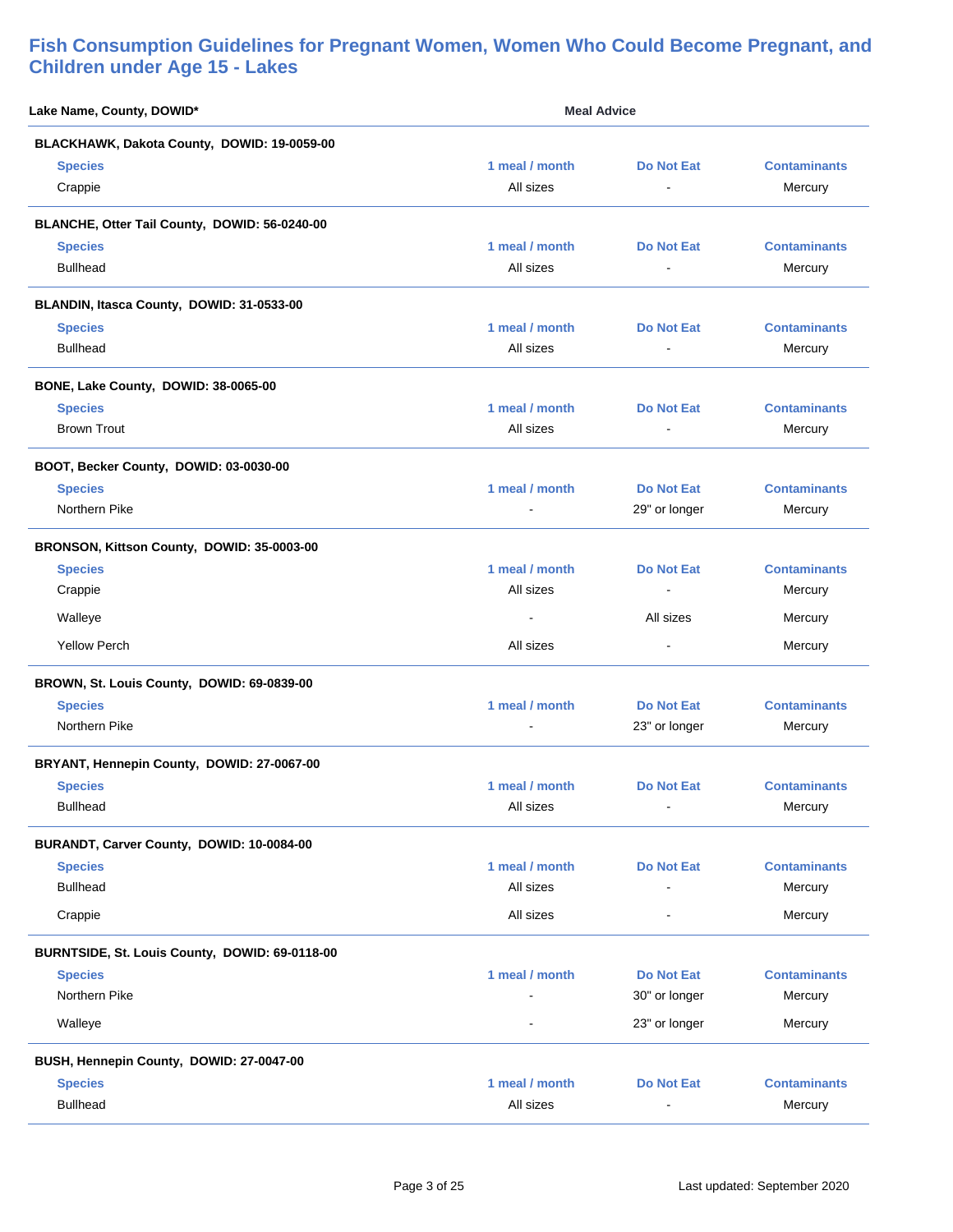| Lake Name, County, DOWID*                      | <b>Meal Advice</b>                         |                                     |                                |
|------------------------------------------------|--------------------------------------------|-------------------------------------|--------------------------------|
| BLACKHAWK, Dakota County, DOWID: 19-0059-00    |                                            |                                     |                                |
| <b>Species</b><br>Crappie                      | 1 meal / month<br>All sizes                | <b>Do Not Eat</b><br>$\blacksquare$ | <b>Contaminants</b><br>Mercury |
| BLANCHE, Otter Tail County, DOWID: 56-0240-00  |                                            |                                     |                                |
| <b>Species</b><br><b>Bullhead</b>              | 1 meal / month<br>All sizes                | <b>Do Not Eat</b><br>$\blacksquare$ | <b>Contaminants</b><br>Mercury |
| BLANDIN, Itasca County, DOWID: 31-0533-00      |                                            |                                     |                                |
| <b>Species</b><br><b>Bullhead</b>              | 1 meal / month<br>All sizes                | <b>Do Not Eat</b><br>$\sim$         | <b>Contaminants</b><br>Mercury |
| BONE, Lake County, DOWID: 38-0065-00           |                                            |                                     |                                |
| <b>Species</b><br><b>Brown Trout</b>           | 1 meal / month<br>All sizes                | <b>Do Not Eat</b><br>$\blacksquare$ | <b>Contaminants</b><br>Mercury |
| BOOT, Becker County, DOWID: 03-0030-00         |                                            |                                     |                                |
| <b>Species</b><br>Northern Pike                | 1 meal / month<br>$\overline{\phantom{a}}$ | <b>Do Not Eat</b><br>29" or longer  | <b>Contaminants</b><br>Mercury |
| BRONSON, Kittson County, DOWID: 35-0003-00     |                                            |                                     |                                |
| <b>Species</b><br>Crappie                      | 1 meal / month<br>All sizes                | <b>Do Not Eat</b><br>$\blacksquare$ | <b>Contaminants</b><br>Mercury |
| Walleye                                        |                                            | All sizes                           | Mercury                        |
| <b>Yellow Perch</b>                            | All sizes                                  |                                     | Mercury                        |
| BROWN, St. Louis County, DOWID: 69-0839-00     |                                            |                                     |                                |
| <b>Species</b><br>Northern Pike                | 1 meal / month                             | <b>Do Not Eat</b><br>23" or longer  | <b>Contaminants</b><br>Mercury |
| BRYANT, Hennepin County, DOWID: 27-0067-00     |                                            |                                     |                                |
| <b>Species</b><br><b>Bullhead</b>              | 1 meal / month<br>All sizes                | Do Not Eat<br>$\blacksquare$        | <b>Contaminants</b><br>Mercury |
| BURANDT, Carver County, DOWID: 10-0084-00      |                                            |                                     |                                |
| <b>Species</b><br><b>Bullhead</b>              | 1 meal / month<br>All sizes                | <b>Do Not Eat</b>                   | <b>Contaminants</b><br>Mercury |
| Crappie                                        | All sizes                                  |                                     | Mercury                        |
| BURNTSIDE, St. Louis County, DOWID: 69-0118-00 |                                            |                                     |                                |
| <b>Species</b><br>Northern Pike                | 1 meal / month                             | <b>Do Not Eat</b><br>30" or longer  | <b>Contaminants</b><br>Mercury |
| Walleye                                        | $\blacksquare$                             | 23" or longer                       | Mercury                        |
| BUSH, Hennepin County, DOWID: 27-0047-00       |                                            |                                     |                                |
| <b>Species</b><br><b>Bullhead</b>              | 1 meal / month<br>All sizes                | <b>Do Not Eat</b>                   | <b>Contaminants</b><br>Mercury |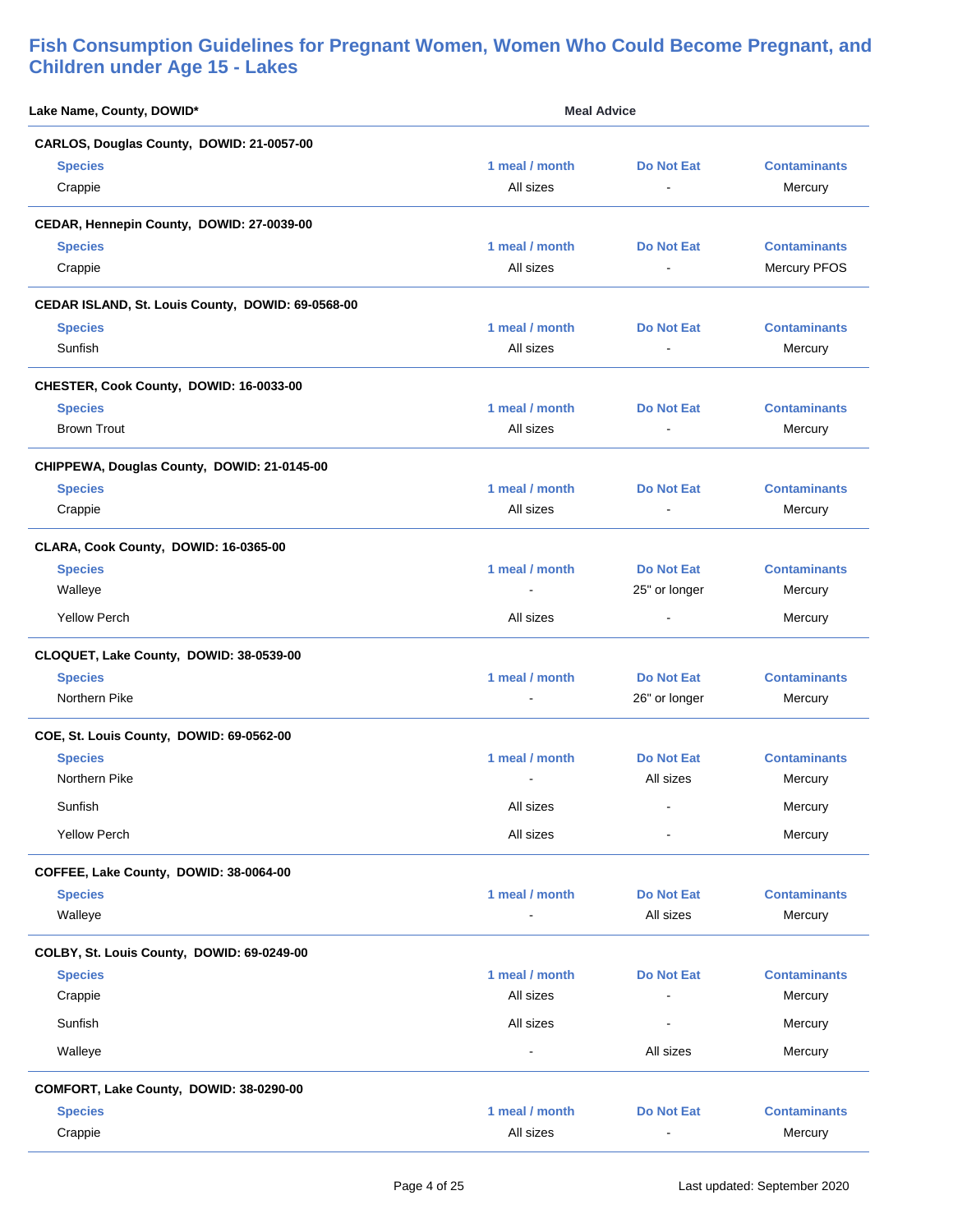| Lake Name, County, DOWID*                         | <b>Meal Advice</b> |                   |                     |
|---------------------------------------------------|--------------------|-------------------|---------------------|
| CARLOS, Douglas County, DOWID: 21-0057-00         |                    |                   |                     |
| <b>Species</b>                                    | 1 meal / month     | <b>Do Not Eat</b> | <b>Contaminants</b> |
| Crappie                                           | All sizes          | $\blacksquare$    | Mercury             |
| CEDAR, Hennepin County, DOWID: 27-0039-00         |                    |                   |                     |
| <b>Species</b>                                    | 1 meal / month     | <b>Do Not Eat</b> | <b>Contaminants</b> |
| Crappie                                           | All sizes          | $\blacksquare$    | Mercury PFOS        |
| CEDAR ISLAND, St. Louis County, DOWID: 69-0568-00 |                    |                   |                     |
| <b>Species</b>                                    | 1 meal / month     | <b>Do Not Eat</b> | <b>Contaminants</b> |
| Sunfish                                           | All sizes          |                   | Mercury             |
| CHESTER, Cook County, DOWID: 16-0033-00           |                    |                   |                     |
| <b>Species</b>                                    | 1 meal / month     | <b>Do Not Eat</b> | <b>Contaminants</b> |
| <b>Brown Trout</b>                                | All sizes          | $\blacksquare$    | Mercury             |
| CHIPPEWA, Douglas County, DOWID: 21-0145-00       |                    |                   |                     |
| <b>Species</b>                                    | 1 meal / month     | <b>Do Not Eat</b> | <b>Contaminants</b> |
| Crappie                                           | All sizes          | $\blacksquare$    | Mercury             |
| CLARA, Cook County, DOWID: 16-0365-00             |                    |                   |                     |
| <b>Species</b>                                    | 1 meal / month     | <b>Do Not Eat</b> | <b>Contaminants</b> |
| Walleye                                           |                    | 25" or longer     | Mercury             |
| <b>Yellow Perch</b>                               | All sizes          | $\blacksquare$    | Mercury             |
| CLOQUET, Lake County, DOWID: 38-0539-00           |                    |                   |                     |
| <b>Species</b>                                    | 1 meal / month     | <b>Do Not Eat</b> | <b>Contaminants</b> |
| Northern Pike                                     |                    | 26" or longer     | Mercury             |
| COE, St. Louis County, DOWID: 69-0562-00          |                    |                   |                     |
| <b>Species</b>                                    | 1 meal / month     | <b>Do Not Eat</b> | <b>Contaminants</b> |
| Northern Pike                                     |                    | All sizes         | Mercury             |
| Sunfish                                           | All sizes          |                   | Mercury             |
| <b>Yellow Perch</b>                               | All sizes          | $\blacksquare$    | Mercury             |
| COFFEE, Lake County, DOWID: 38-0064-00            |                    |                   |                     |
| <b>Species</b>                                    | 1 meal / month     | <b>Do Not Eat</b> | <b>Contaminants</b> |
| Walleye                                           |                    | All sizes         | Mercury             |
| COLBY, St. Louis County, DOWID: 69-0249-00        |                    |                   |                     |
| <b>Species</b>                                    | 1 meal / month     | <b>Do Not Eat</b> | <b>Contaminants</b> |
| Crappie                                           | All sizes          | $\blacksquare$    | Mercury             |
| Sunfish                                           | All sizes          | $\blacksquare$    | Mercury             |
| Walleye                                           | $\overline{a}$     | All sizes         | Mercury             |
| COMFORT, Lake County, DOWID: 38-0290-00           |                    |                   |                     |
| <b>Species</b>                                    | 1 meal / month     | <b>Do Not Eat</b> | <b>Contaminants</b> |
| Crappie                                           | All sizes          | $\blacksquare$    | Mercury             |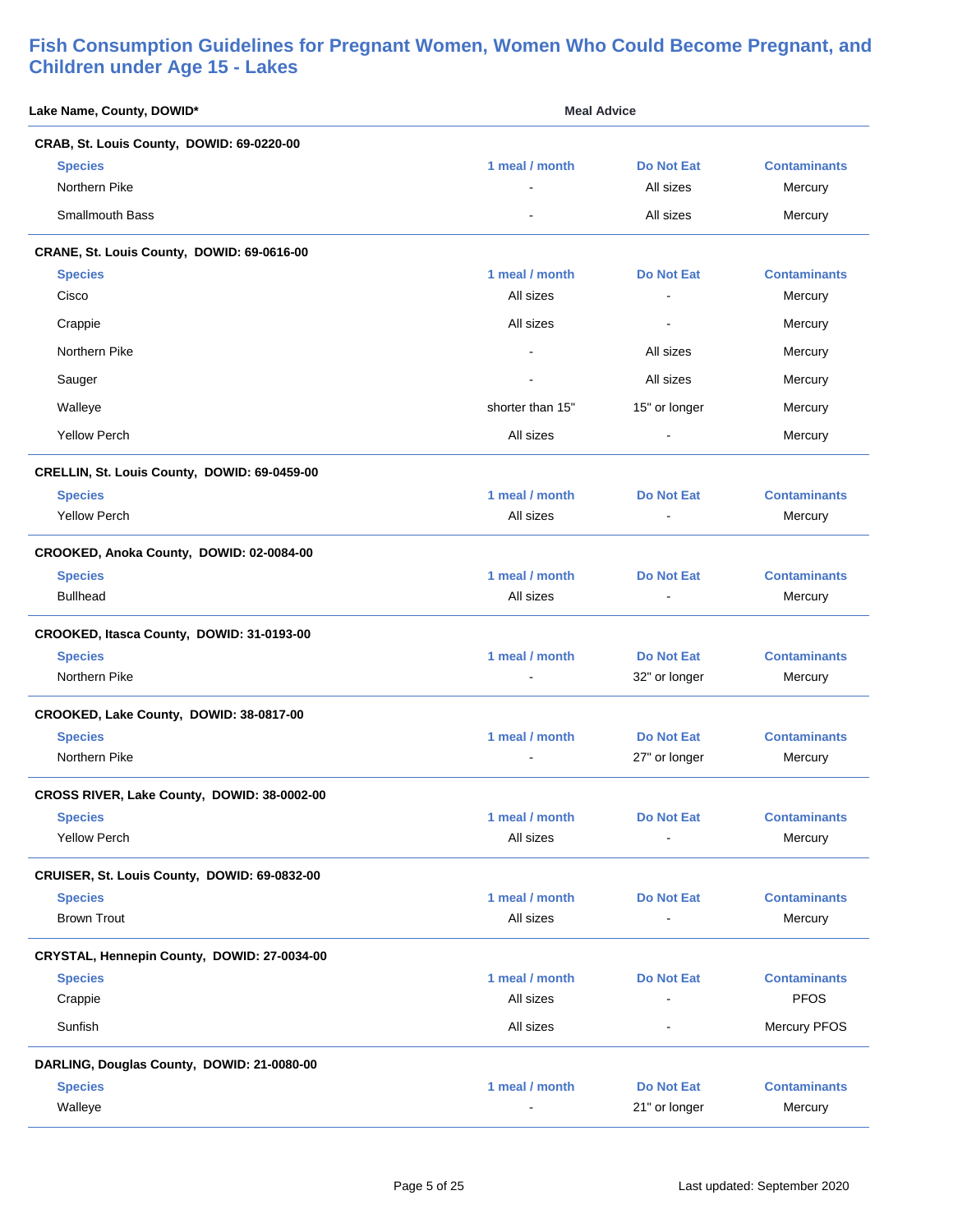| Lake Name, County, DOWID*                    | <b>Meal Advice</b>          |                                     |                                |
|----------------------------------------------|-----------------------------|-------------------------------------|--------------------------------|
| CRAB, St. Louis County, DOWID: 69-0220-00    |                             |                                     |                                |
| <b>Species</b><br>Northern Pike              | 1 meal / month              | <b>Do Not Eat</b><br>All sizes      | <b>Contaminants</b><br>Mercury |
| <b>Smallmouth Bass</b>                       |                             | All sizes                           | Mercury                        |
| CRANE, St. Louis County, DOWID: 69-0616-00   |                             |                                     |                                |
| <b>Species</b><br>Cisco                      | 1 meal / month<br>All sizes | <b>Do Not Eat</b><br>$\blacksquare$ | <b>Contaminants</b><br>Mercury |
| Crappie                                      | All sizes                   | $\blacksquare$                      | Mercury                        |
| Northern Pike                                |                             | All sizes                           | Mercury                        |
| Sauger                                       |                             | All sizes                           | Mercury                        |
| Walleye                                      | shorter than 15"            | 15" or longer                       | Mercury                        |
| <b>Yellow Perch</b>                          | All sizes                   | $\blacksquare$                      | Mercury                        |
| CRELLIN, St. Louis County, DOWID: 69-0459-00 |                             |                                     |                                |
| <b>Species</b>                               | 1 meal / month              | <b>Do Not Eat</b>                   | <b>Contaminants</b>            |
| <b>Yellow Perch</b>                          | All sizes                   |                                     | Mercury                        |
| CROOKED, Anoka County, DOWID: 02-0084-00     |                             |                                     |                                |
| <b>Species</b>                               | 1 meal / month              | <b>Do Not Eat</b>                   | <b>Contaminants</b>            |
| <b>Bullhead</b>                              | All sizes                   | $\blacksquare$                      | Mercury                        |
| CROOKED, Itasca County, DOWID: 31-0193-00    |                             |                                     |                                |
| <b>Species</b>                               | 1 meal / month              | <b>Do Not Eat</b>                   | <b>Contaminants</b>            |
| Northern Pike                                |                             | 32" or longer                       | Mercury                        |
| CROOKED, Lake County, DOWID: 38-0817-00      |                             |                                     |                                |
| <b>Species</b>                               | 1 meal / month              | <b>Do Not Eat</b>                   | <b>Contaminants</b>            |
| Northern Pike                                |                             | 27" or longer                       | Mercury                        |
| CROSS RIVER, Lake County, DOWID: 38-0002-00  |                             |                                     |                                |
| <b>Species</b>                               | 1 meal / month              | <b>Do Not Eat</b>                   | <b>Contaminants</b>            |
| <b>Yellow Perch</b>                          | All sizes                   |                                     | Mercury                        |
| CRUISER, St. Louis County, DOWID: 69-0832-00 |                             |                                     |                                |
| <b>Species</b>                               | 1 meal / month              | <b>Do Not Eat</b>                   | <b>Contaminants</b>            |
| <b>Brown Trout</b>                           | All sizes                   | $\overline{a}$                      | Mercury                        |
| CRYSTAL, Hennepin County, DOWID: 27-0034-00  |                             |                                     |                                |
| <b>Species</b>                               | 1 meal / month              | <b>Do Not Eat</b>                   | <b>Contaminants</b>            |
| Crappie                                      | All sizes                   | $\overline{a}$                      | <b>PFOS</b>                    |
| Sunfish                                      | All sizes                   |                                     | Mercury PFOS                   |
| DARLING, Douglas County, DOWID: 21-0080-00   |                             |                                     |                                |
| <b>Species</b>                               | 1 meal / month              | <b>Do Not Eat</b>                   | <b>Contaminants</b>            |
| Walleye                                      |                             | 21" or longer                       | Mercury                        |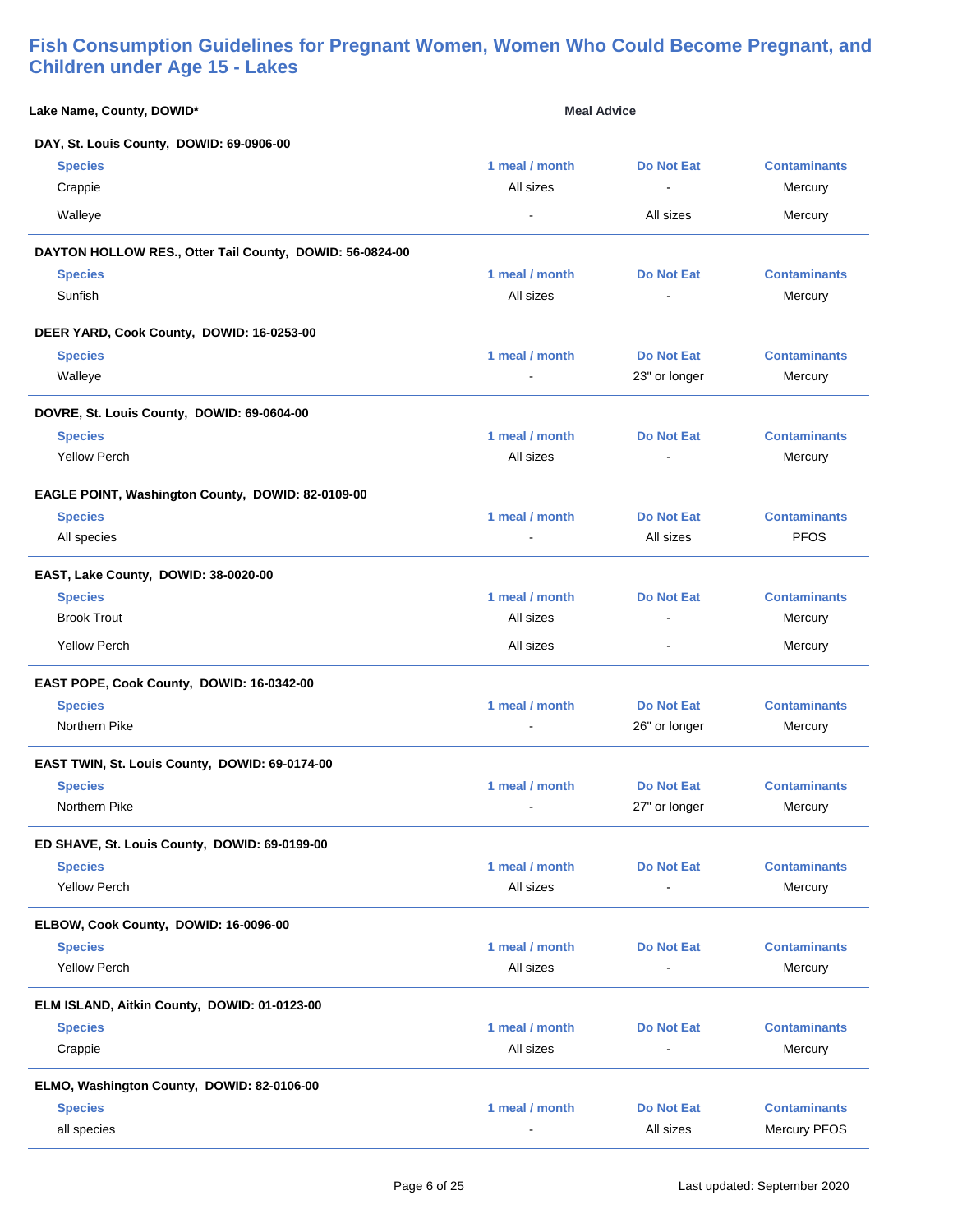| Lake Name, County, DOWID*                                | <b>Meal Advice</b> |                   |                     |
|----------------------------------------------------------|--------------------|-------------------|---------------------|
| DAY, St. Louis County, DOWID: 69-0906-00                 |                    |                   |                     |
| <b>Species</b>                                           | 1 meal / month     | <b>Do Not Eat</b> | <b>Contaminants</b> |
| Crappie                                                  | All sizes          | $\blacksquare$    | Mercury             |
| Walleye                                                  | $\blacksquare$     | All sizes         | Mercury             |
| DAYTON HOLLOW RES., Otter Tail County, DOWID: 56-0824-00 |                    |                   |                     |
| <b>Species</b>                                           | 1 meal / month     | <b>Do Not Eat</b> | <b>Contaminants</b> |
| Sunfish                                                  | All sizes          |                   | Mercury             |
| DEER YARD, Cook County, DOWID: 16-0253-00                |                    |                   |                     |
| <b>Species</b>                                           | 1 meal / month     | <b>Do Not Eat</b> | <b>Contaminants</b> |
| Walleye                                                  | $\blacksquare$     | 23" or longer     | Mercury             |
| DOVRE, St. Louis County, DOWID: 69-0604-00               |                    |                   |                     |
| <b>Species</b>                                           | 1 meal / month     | <b>Do Not Eat</b> | <b>Contaminants</b> |
| <b>Yellow Perch</b>                                      | All sizes          | $\blacksquare$    | Mercury             |
| EAGLE POINT, Washington County, DOWID: 82-0109-00        |                    |                   |                     |
| <b>Species</b>                                           | 1 meal / month     | <b>Do Not Eat</b> | <b>Contaminants</b> |
| All species                                              |                    | All sizes         | <b>PFOS</b>         |
| EAST, Lake County, DOWID: 38-0020-00                     |                    |                   |                     |
| <b>Species</b>                                           | 1 meal / month     | <b>Do Not Eat</b> | <b>Contaminants</b> |
| <b>Brook Trout</b>                                       | All sizes          | $\blacksquare$    | Mercury             |
| <b>Yellow Perch</b>                                      | All sizes          |                   | Mercury             |
| EAST POPE, Cook County, DOWID: 16-0342-00                |                    |                   |                     |
| <b>Species</b>                                           | 1 meal / month     | <b>Do Not Eat</b> | <b>Contaminants</b> |
| Northern Pike                                            | $\blacksquare$     | 26" or longer     | Mercury             |
| EAST TWIN, St. Louis County, DOWID: 69-0174-00           |                    |                   |                     |
| <b>Species</b>                                           | 1 meal / month     | <b>Do Not Eat</b> | <b>Contaminants</b> |
| Northern Pike                                            |                    | 27" or longer     | Mercury             |
| ED SHAVE, St. Louis County, DOWID: 69-0199-00            |                    |                   |                     |
| <b>Species</b>                                           | 1 meal / month     | <b>Do Not Eat</b> | <b>Contaminants</b> |
| <b>Yellow Perch</b>                                      | All sizes          | $\overline{a}$    | Mercury             |
| ELBOW, Cook County, DOWID: 16-0096-00                    |                    |                   |                     |
| <b>Species</b>                                           | 1 meal / month     | <b>Do Not Eat</b> | <b>Contaminants</b> |
| <b>Yellow Perch</b>                                      | All sizes          |                   | Mercury             |
| ELM ISLAND, Aitkin County, DOWID: 01-0123-00             |                    |                   |                     |
| <b>Species</b>                                           | 1 meal / month     | <b>Do Not Eat</b> | <b>Contaminants</b> |
| Crappie                                                  | All sizes          |                   | Mercury             |
| ELMO, Washington County, DOWID: 82-0106-00               |                    |                   |                     |
| <b>Species</b>                                           | 1 meal / month     | <b>Do Not Eat</b> | <b>Contaminants</b> |
| all species                                              |                    | All sizes         | Mercury PFOS        |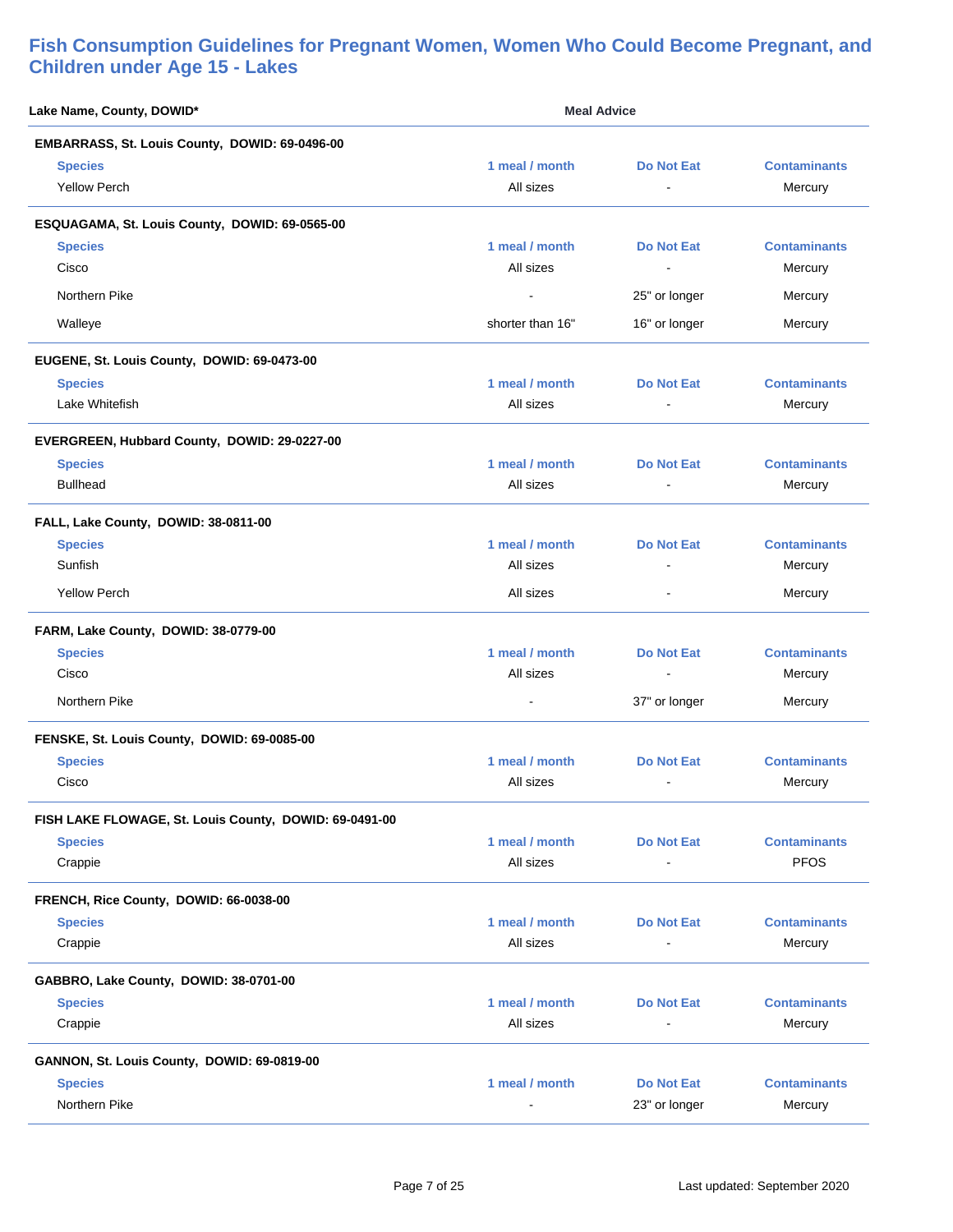| Lake Name, County, DOWID*                              | <b>Meal Advice</b> |                   |                     |
|--------------------------------------------------------|--------------------|-------------------|---------------------|
| EMBARRASS, St. Louis County, DOWID: 69-0496-00         |                    |                   |                     |
| <b>Species</b>                                         | 1 meal / month     | <b>Do Not Eat</b> | <b>Contaminants</b> |
| <b>Yellow Perch</b>                                    | All sizes          |                   | Mercury             |
| ESQUAGAMA, St. Louis County, DOWID: 69-0565-00         |                    |                   |                     |
| <b>Species</b>                                         | 1 meal / month     | Do Not Eat        | <b>Contaminants</b> |
| Cisco                                                  | All sizes          | $\blacksquare$    | Mercury             |
| Northern Pike                                          |                    | 25" or longer     | Mercury             |
| Walleye                                                | shorter than 16"   | 16" or longer     | Mercury             |
| EUGENE, St. Louis County, DOWID: 69-0473-00            |                    |                   |                     |
| <b>Species</b>                                         | 1 meal / month     | <b>Do Not Eat</b> | <b>Contaminants</b> |
| Lake Whitefish                                         | All sizes          |                   | Mercury             |
| EVERGREEN, Hubbard County, DOWID: 29-0227-00           |                    |                   |                     |
| <b>Species</b>                                         | 1 meal / month     | Do Not Eat        | <b>Contaminants</b> |
| <b>Bullhead</b>                                        | All sizes          | $\blacksquare$    | Mercury             |
| FALL, Lake County, DOWID: 38-0811-00                   |                    |                   |                     |
| <b>Species</b>                                         | 1 meal / month     | <b>Do Not Eat</b> | <b>Contaminants</b> |
| Sunfish                                                | All sizes          |                   | Mercury             |
| <b>Yellow Perch</b>                                    | All sizes          | $\blacksquare$    | Mercury             |
| FARM, Lake County, DOWID: 38-0779-00                   |                    |                   |                     |
| <b>Species</b>                                         | 1 meal / month     | <b>Do Not Eat</b> | <b>Contaminants</b> |
| Cisco                                                  | All sizes          | $\blacksquare$    | Mercury             |
| Northern Pike                                          |                    | 37" or longer     | Mercury             |
| FENSKE, St. Louis County, DOWID: 69-0085-00            |                    |                   |                     |
| <b>Species</b>                                         | 1 meal / month     | <b>Do Not Eat</b> | <b>Contaminants</b> |
| Cisco                                                  | All sizes          | $\blacksquare$    | Mercury             |
| FISH LAKE FLOWAGE, St. Louis County, DOWID: 69-0491-00 |                    |                   |                     |
| <b>Species</b>                                         | 1 meal / month     | <b>Do Not Eat</b> | <b>Contaminants</b> |
| Crappie                                                | All sizes          |                   | <b>PFOS</b>         |
| FRENCH, Rice County, DOWID: 66-0038-00                 |                    |                   |                     |
| <b>Species</b>                                         | 1 meal / month     | <b>Do Not Eat</b> | <b>Contaminants</b> |
| Crappie                                                | All sizes          |                   | Mercury             |
| GABBRO, Lake County, DOWID: 38-0701-00                 |                    |                   |                     |
| <b>Species</b>                                         | 1 meal / month     | <b>Do Not Eat</b> | <b>Contaminants</b> |
| Crappie                                                | All sizes          |                   | Mercury             |
| GANNON, St. Louis County, DOWID: 69-0819-00            |                    |                   |                     |
| <b>Species</b>                                         | 1 meal / month     | <b>Do Not Eat</b> | <b>Contaminants</b> |
| Northern Pike                                          |                    | 23" or longer     | Mercury             |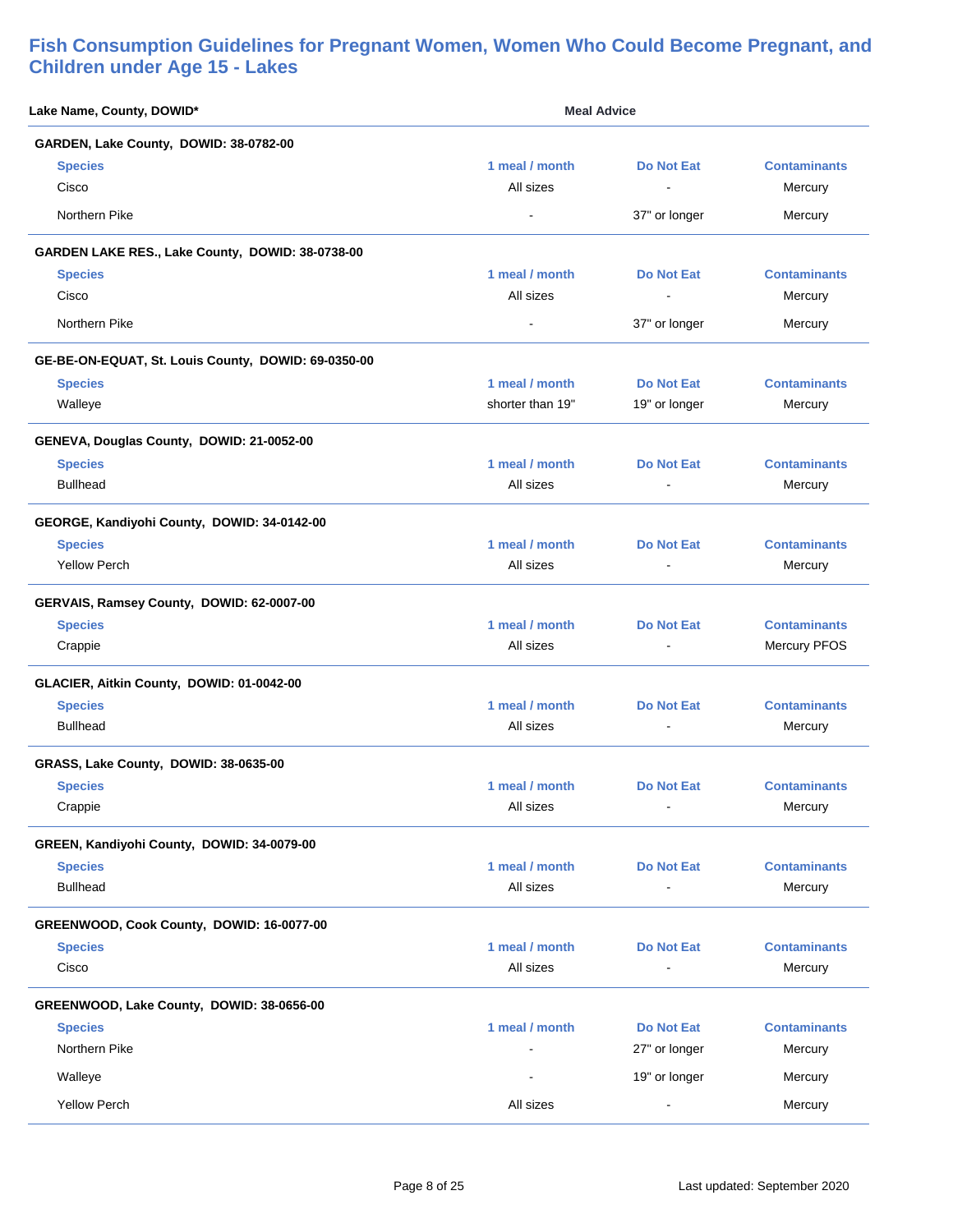| Lake Name, County, DOWID*                           | <b>Meal Advice</b> |                   |                     |
|-----------------------------------------------------|--------------------|-------------------|---------------------|
| GARDEN, Lake County, DOWID: 38-0782-00              |                    |                   |                     |
| <b>Species</b>                                      | 1 meal / month     | <b>Do Not Eat</b> | <b>Contaminants</b> |
| Cisco                                               | All sizes          |                   | Mercury             |
| Northern Pike                                       | $\blacksquare$     | 37" or longer     | Mercury             |
| GARDEN LAKE RES., Lake County, DOWID: 38-0738-00    |                    |                   |                     |
| <b>Species</b>                                      | 1 meal / month     | <b>Do Not Eat</b> | <b>Contaminants</b> |
| Cisco                                               | All sizes          |                   | Mercury             |
| Northern Pike                                       | $\blacksquare$     | 37" or longer     | Mercury             |
| GE-BE-ON-EQUAT, St. Louis County, DOWID: 69-0350-00 |                    |                   |                     |
| <b>Species</b>                                      | 1 meal / month     | <b>Do Not Eat</b> | <b>Contaminants</b> |
| Walleye                                             | shorter than 19"   | 19" or longer     | Mercury             |
| GENEVA, Douglas County, DOWID: 21-0052-00           |                    |                   |                     |
| <b>Species</b>                                      | 1 meal / month     | <b>Do Not Eat</b> | <b>Contaminants</b> |
| <b>Bullhead</b>                                     | All sizes          | $\blacksquare$    | Mercury             |
| GEORGE, Kandiyohi County, DOWID: 34-0142-00         |                    |                   |                     |
| <b>Species</b>                                      | 1 meal / month     | <b>Do Not Eat</b> | <b>Contaminants</b> |
| <b>Yellow Perch</b>                                 | All sizes          | $\sim$            | Mercury             |
| GERVAIS, Ramsey County, DOWID: 62-0007-00           |                    |                   |                     |
| <b>Species</b>                                      | 1 meal / month     | <b>Do Not Eat</b> | <b>Contaminants</b> |
| Crappie                                             | All sizes          |                   | Mercury PFOS        |
| GLACIER, Aitkin County, DOWID: 01-0042-00           |                    |                   |                     |
| <b>Species</b>                                      | 1 meal / month     | <b>Do Not Eat</b> | <b>Contaminants</b> |
| <b>Bullhead</b>                                     | All sizes          | $\blacksquare$    | Mercury             |
| GRASS, Lake County, DOWID: 38-0635-00               |                    |                   |                     |
| <b>Species</b>                                      | 1 meal / month     | <b>Do Not Eat</b> | <b>Contaminants</b> |
| Crappie                                             | All sizes          |                   | Mercury             |
| GREEN, Kandiyohi County, DOWID: 34-0079-00          |                    |                   |                     |
| <b>Species</b>                                      | 1 meal / month     | <b>Do Not Eat</b> | <b>Contaminants</b> |
| <b>Bullhead</b>                                     | All sizes          |                   | Mercury             |
| GREENWOOD, Cook County, DOWID: 16-0077-00           |                    |                   |                     |
| <b>Species</b>                                      | 1 meal / month     | <b>Do Not Eat</b> | <b>Contaminants</b> |
| Cisco                                               | All sizes          |                   | Mercury             |
| GREENWOOD, Lake County, DOWID: 38-0656-00           |                    |                   |                     |
| <b>Species</b>                                      | 1 meal / month     | <b>Do Not Eat</b> | <b>Contaminants</b> |
| Northern Pike                                       |                    | 27" or longer     | Mercury             |
| Walleye                                             |                    | 19" or longer     | Mercury             |
| <b>Yellow Perch</b>                                 | All sizes          |                   | Mercury             |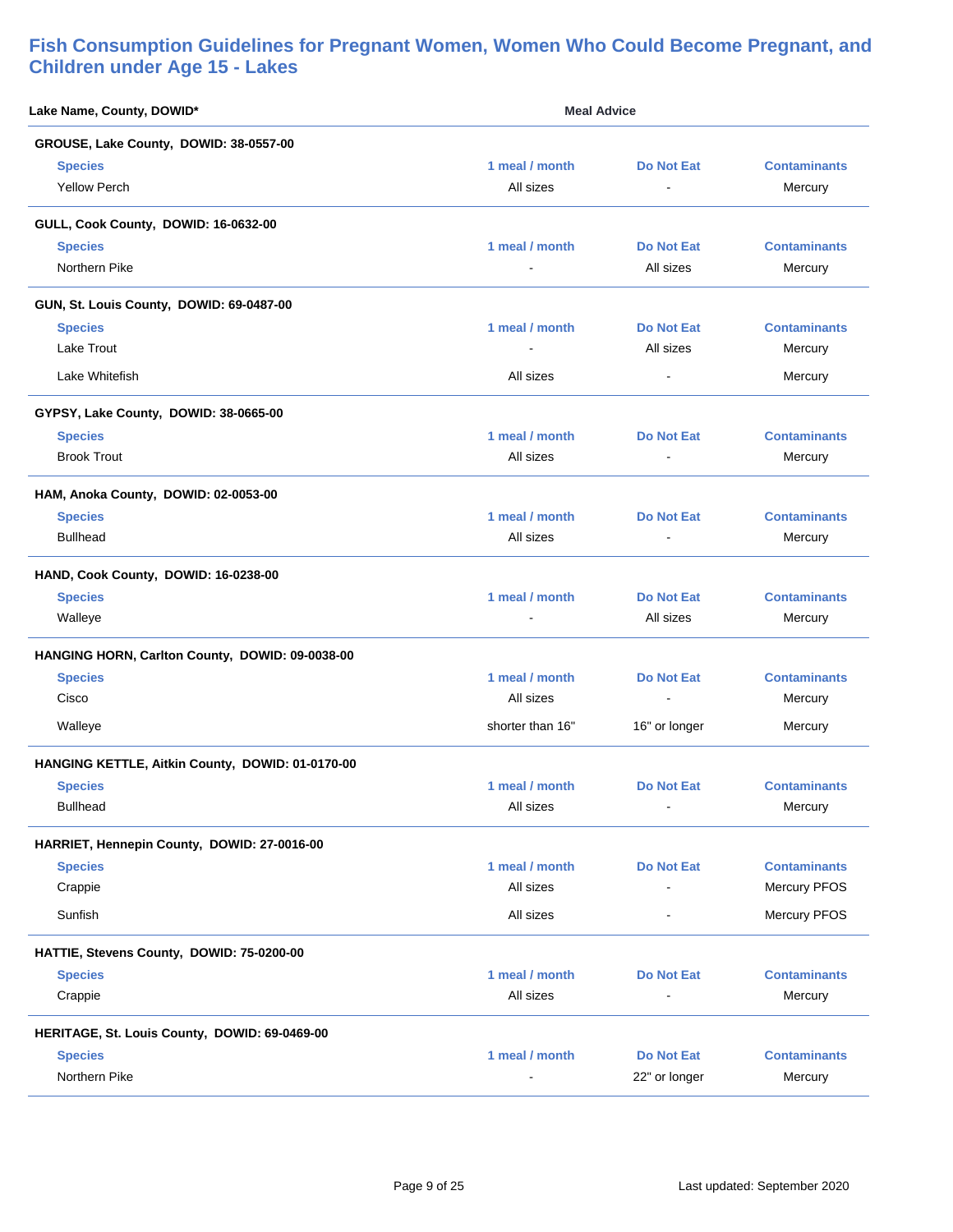| Lake Name, County, DOWID*                        | <b>Meal Advice</b>       |                   |                     |
|--------------------------------------------------|--------------------------|-------------------|---------------------|
| GROUSE, Lake County, DOWID: 38-0557-00           |                          |                   |                     |
| <b>Species</b>                                   | 1 meal / month           | <b>Do Not Eat</b> | <b>Contaminants</b> |
| <b>Yellow Perch</b>                              | All sizes                | $\blacksquare$    | Mercury             |
| GULL, Cook County, DOWID: 16-0632-00             |                          |                   |                     |
| <b>Species</b>                                   | 1 meal / month           | <b>Do Not Eat</b> | <b>Contaminants</b> |
| Northern Pike                                    | $\blacksquare$           | All sizes         | Mercury             |
| GUN, St. Louis County, DOWID: 69-0487-00         |                          |                   |                     |
| <b>Species</b>                                   | 1 meal / month           | Do Not Eat        | <b>Contaminants</b> |
| <b>Lake Trout</b>                                |                          | All sizes         | Mercury             |
| Lake Whitefish                                   | All sizes                | $\blacksquare$    | Mercury             |
| GYPSY, Lake County, DOWID: 38-0665-00            |                          |                   |                     |
| <b>Species</b>                                   | 1 meal / month           | <b>Do Not Eat</b> | <b>Contaminants</b> |
| <b>Brook Trout</b>                               | All sizes                | ÷                 | Mercury             |
| HAM, Anoka County, DOWID: 02-0053-00             |                          |                   |                     |
| <b>Species</b>                                   | 1 meal / month           | Do Not Eat        | <b>Contaminants</b> |
| <b>Bullhead</b>                                  | All sizes                |                   | Mercury             |
| HAND, Cook County, DOWID: 16-0238-00             |                          |                   |                     |
| <b>Species</b>                                   | 1 meal / month           | <b>Do Not Eat</b> | <b>Contaminants</b> |
| Walleye                                          |                          | All sizes         | Mercury             |
| HANGING HORN, Carlton County, DOWID: 09-0038-00  |                          |                   |                     |
| <b>Species</b>                                   | 1 meal / month           | <b>Do Not Eat</b> | <b>Contaminants</b> |
| Cisco                                            | All sizes                | $\blacksquare$    | Mercury             |
| Walleye                                          | shorter than 16"         | 16" or longer     | Mercury             |
| HANGING KETTLE, Aitkin County, DOWID: 01-0170-00 |                          |                   |                     |
| <b>Species</b>                                   | 1 meal / month           | Do Not Eat        | <b>Contaminants</b> |
| <b>Bullhead</b>                                  | All sizes                | $\sim$            | Mercury             |
| HARRIET, Hennepin County, DOWID: 27-0016-00      |                          |                   |                     |
| <b>Species</b>                                   | 1 meal / month           | <b>Do Not Eat</b> | <b>Contaminants</b> |
| Crappie                                          | All sizes                |                   | Mercury PFOS        |
| Sunfish                                          | All sizes                |                   | Mercury PFOS        |
| HATTIE, Stevens County, DOWID: 75-0200-00        |                          |                   |                     |
| <b>Species</b>                                   | 1 meal / month           | <b>Do Not Eat</b> | <b>Contaminants</b> |
| Crappie                                          | All sizes                | $\blacksquare$    | Mercury             |
| HERITAGE, St. Louis County, DOWID: 69-0469-00    |                          |                   |                     |
| <b>Species</b>                                   | 1 meal / month           | <b>Do Not Eat</b> | <b>Contaminants</b> |
| Northern Pike                                    | $\overline{\phantom{a}}$ | 22" or longer     | Mercury             |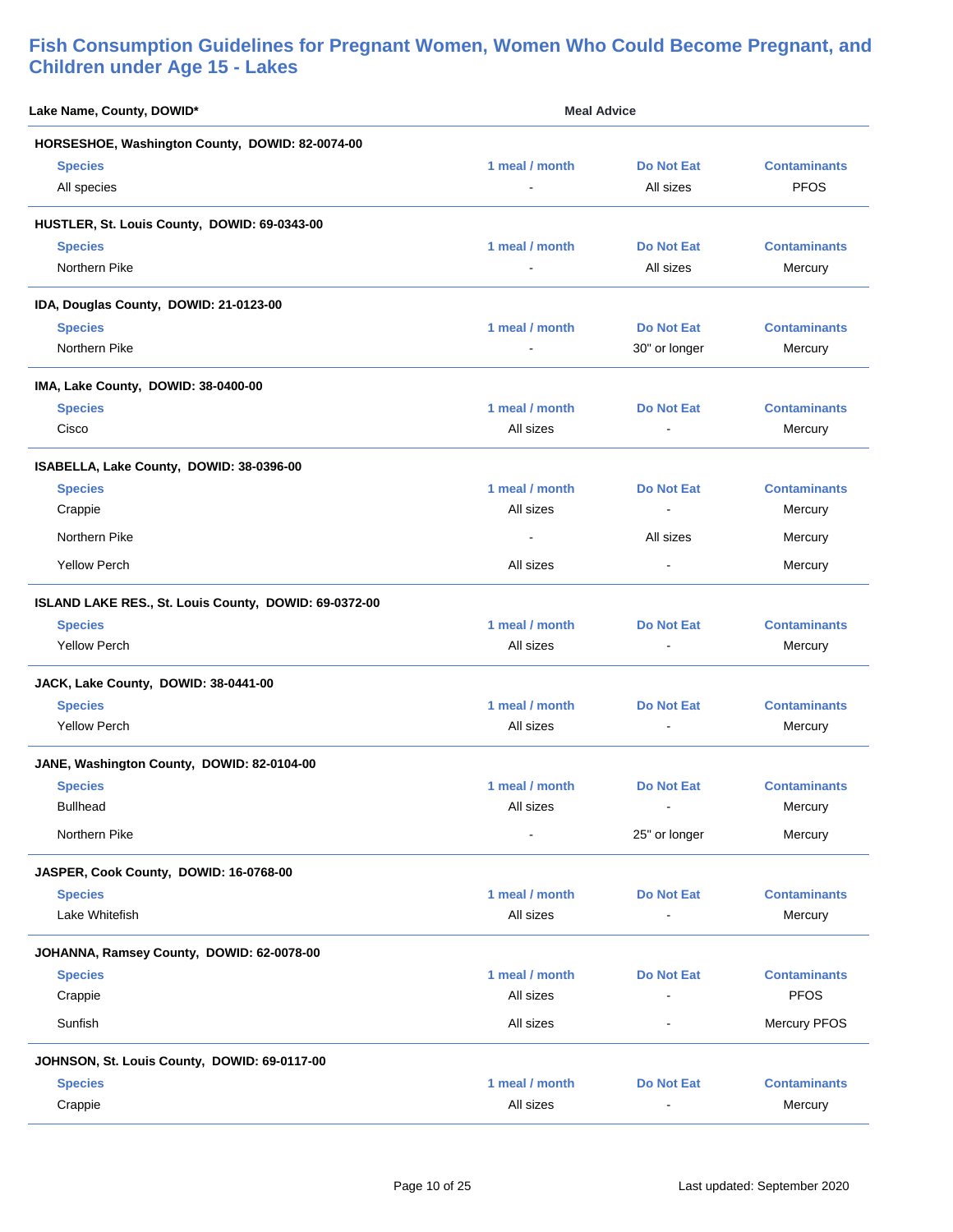| Lake Name, County, DOWID*                             | <b>Meal Advice</b> |                   |                     |  |
|-------------------------------------------------------|--------------------|-------------------|---------------------|--|
| HORSESHOE, Washington County, DOWID: 82-0074-00       |                    |                   |                     |  |
| <b>Species</b>                                        | 1 meal / month     | <b>Do Not Eat</b> | <b>Contaminants</b> |  |
| All species                                           |                    | All sizes         | <b>PFOS</b>         |  |
| HUSTLER, St. Louis County, DOWID: 69-0343-00          |                    |                   |                     |  |
| <b>Species</b>                                        | 1 meal / month     | <b>Do Not Eat</b> | <b>Contaminants</b> |  |
| Northern Pike                                         | $\blacksquare$     | All sizes         | Mercury             |  |
| IDA, Douglas County, DOWID: 21-0123-00                |                    |                   |                     |  |
| <b>Species</b>                                        | 1 meal / month     | <b>Do Not Eat</b> | <b>Contaminants</b> |  |
| Northern Pike                                         |                    | 30" or longer     | Mercury             |  |
| IMA, Lake County, DOWID: 38-0400-00                   |                    |                   |                     |  |
| <b>Species</b>                                        | 1 meal / month     | <b>Do Not Eat</b> | <b>Contaminants</b> |  |
| Cisco                                                 | All sizes          | $\blacksquare$    | Mercury             |  |
| ISABELLA, Lake County, DOWID: 38-0396-00              |                    |                   |                     |  |
| <b>Species</b>                                        | 1 meal / month     | <b>Do Not Eat</b> | <b>Contaminants</b> |  |
| Crappie                                               | All sizes          | $\blacksquare$    | Mercury             |  |
| Northern Pike                                         |                    | All sizes         | Mercury             |  |
| <b>Yellow Perch</b>                                   | All sizes          | $\blacksquare$    | Mercury             |  |
| ISLAND LAKE RES., St. Louis County, DOWID: 69-0372-00 |                    |                   |                     |  |
| <b>Species</b>                                        | 1 meal / month     | <b>Do Not Eat</b> | <b>Contaminants</b> |  |
| <b>Yellow Perch</b>                                   | All sizes          |                   | Mercury             |  |
| JACK, Lake County, DOWID: 38-0441-00                  |                    |                   |                     |  |
| <b>Species</b>                                        | 1 meal / month     | Do Not Eat        | <b>Contaminants</b> |  |
| <b>Yellow Perch</b>                                   | All sizes          | $\blacksquare$    | Mercury             |  |
| JANE, Washington County, DOWID: 82-0104-00            |                    |                   |                     |  |
| <b>Species</b>                                        | 1 meal / month     | Do Not Eat        | <b>Contaminants</b> |  |
| <b>Bullhead</b>                                       | All sizes          | $\blacksquare$    | Mercury             |  |
| Northern Pike                                         | $\blacksquare$     | 25" or longer     | Mercury             |  |
| JASPER, Cook County, DOWID: 16-0768-00                |                    |                   |                     |  |
| <b>Species</b>                                        | 1 meal / month     | <b>Do Not Eat</b> | <b>Contaminants</b> |  |
| Lake Whitefish                                        | All sizes          |                   | Mercury             |  |
| JOHANNA, Ramsey County, DOWID: 62-0078-00             |                    |                   |                     |  |
| <b>Species</b>                                        | 1 meal / month     | <b>Do Not Eat</b> | <b>Contaminants</b> |  |
| Crappie                                               | All sizes          |                   | <b>PFOS</b>         |  |
| Sunfish                                               | All sizes          | $\blacksquare$    | Mercury PFOS        |  |
| JOHNSON, St. Louis County, DOWID: 69-0117-00          |                    |                   |                     |  |
| <b>Species</b>                                        | 1 meal / month     | <b>Do Not Eat</b> | <b>Contaminants</b> |  |
| Crappie                                               | All sizes          |                   | Mercury             |  |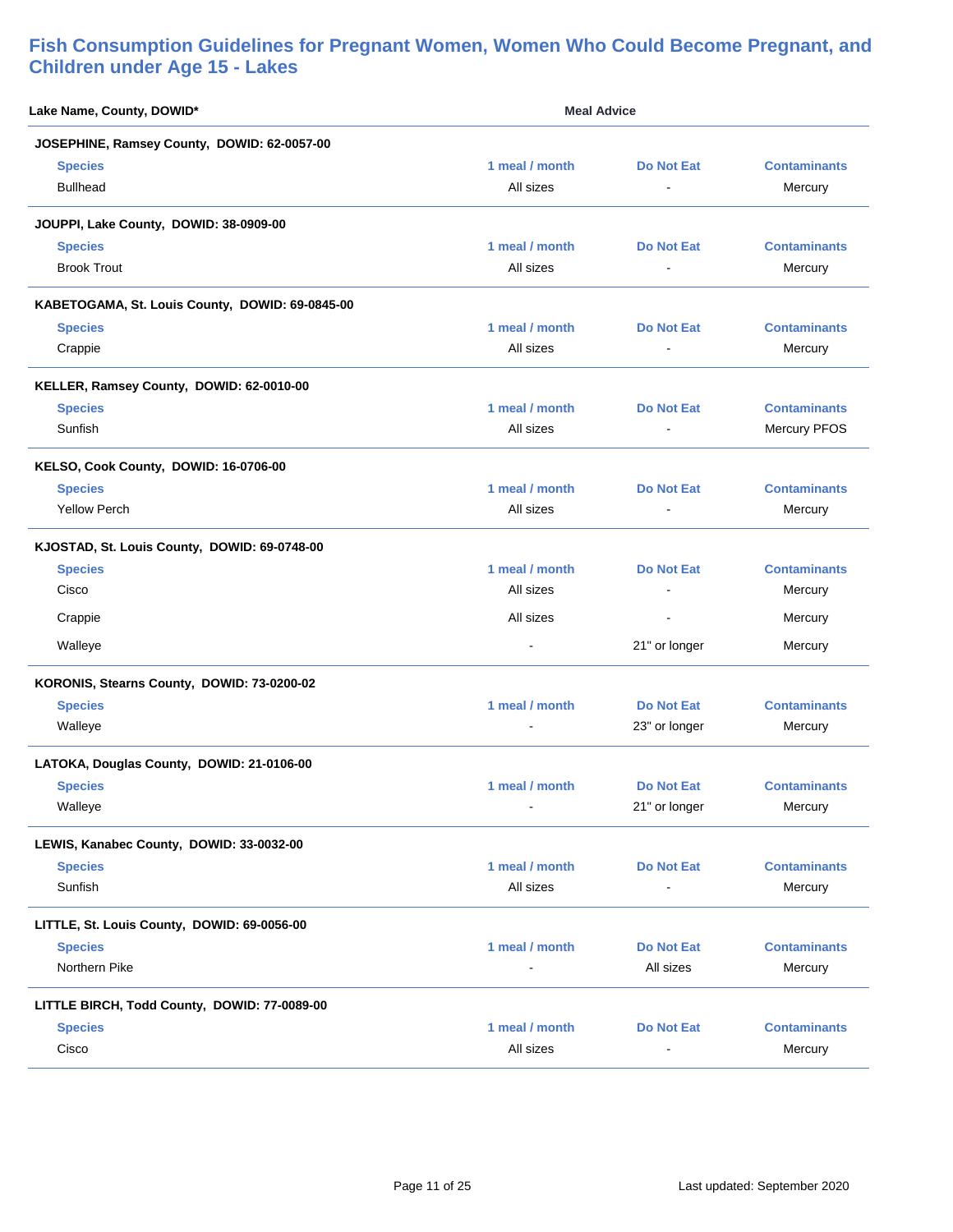| Lake Name, County, DOWID*                       | <b>Meal Advice</b> |                   |                     |
|-------------------------------------------------|--------------------|-------------------|---------------------|
| JOSEPHINE, Ramsey County, DOWID: 62-0057-00     |                    |                   |                     |
| <b>Species</b>                                  | 1 meal / month     | <b>Do Not Eat</b> | <b>Contaminants</b> |
| <b>Bullhead</b>                                 | All sizes          |                   | Mercury             |
| JOUPPI, Lake County, DOWID: 38-0909-00          |                    |                   |                     |
| <b>Species</b>                                  | 1 meal / month     | <b>Do Not Eat</b> | <b>Contaminants</b> |
| <b>Brook Trout</b>                              | All sizes          |                   | Mercury             |
| KABETOGAMA, St. Louis County, DOWID: 69-0845-00 |                    |                   |                     |
| <b>Species</b>                                  | 1 meal / month     | <b>Do Not Eat</b> | <b>Contaminants</b> |
| Crappie                                         | All sizes          |                   | Mercury             |
| KELLER, Ramsey County, DOWID: 62-0010-00        |                    |                   |                     |
| <b>Species</b>                                  | 1 meal / month     | <b>Do Not Eat</b> | <b>Contaminants</b> |
| Sunfish                                         | All sizes          | $\blacksquare$    | Mercury PFOS        |
| KELSO, Cook County, DOWID: 16-0706-00           |                    |                   |                     |
| <b>Species</b>                                  | 1 meal / month     | <b>Do Not Eat</b> | <b>Contaminants</b> |
| <b>Yellow Perch</b>                             | All sizes          | $\blacksquare$    | Mercury             |
| KJOSTAD, St. Louis County, DOWID: 69-0748-00    |                    |                   |                     |
| <b>Species</b>                                  | 1 meal / month     | <b>Do Not Eat</b> | <b>Contaminants</b> |
| Cisco                                           | All sizes          | $\blacksquare$    | Mercury             |
| Crappie                                         | All sizes          |                   | Mercury             |
| Walleye                                         |                    | 21" or longer     | Mercury             |
| KORONIS, Stearns County, DOWID: 73-0200-02      |                    |                   |                     |
| <b>Species</b>                                  | 1 meal / month     | <b>Do Not Eat</b> | <b>Contaminants</b> |
| Walleye                                         |                    | 23" or longer     | Mercury             |
| LATOKA, Douglas County, DOWID: 21-0106-00       |                    |                   |                     |
| <b>Species</b>                                  | 1 meal / month     | Do Not Eat        | <b>Contaminants</b> |
| Walleye                                         |                    | 21" or longer     | Mercury             |
| LEWIS, Kanabec County, DOWID: 33-0032-00        |                    |                   |                     |
| <b>Species</b>                                  | 1 meal / month     | <b>Do Not Eat</b> | <b>Contaminants</b> |
| Sunfish                                         | All sizes          | $\overline{a}$    | Mercury             |
| LITTLE, St. Louis County, DOWID: 69-0056-00     |                    |                   |                     |
| <b>Species</b>                                  | 1 meal / month     | <b>Do Not Eat</b> | <b>Contaminants</b> |
| Northern Pike                                   |                    | All sizes         | Mercury             |
| LITTLE BIRCH, Todd County, DOWID: 77-0089-00    |                    |                   |                     |
| <b>Species</b>                                  | 1 meal / month     | <b>Do Not Eat</b> | <b>Contaminants</b> |
| Cisco                                           | All sizes          |                   | Mercury             |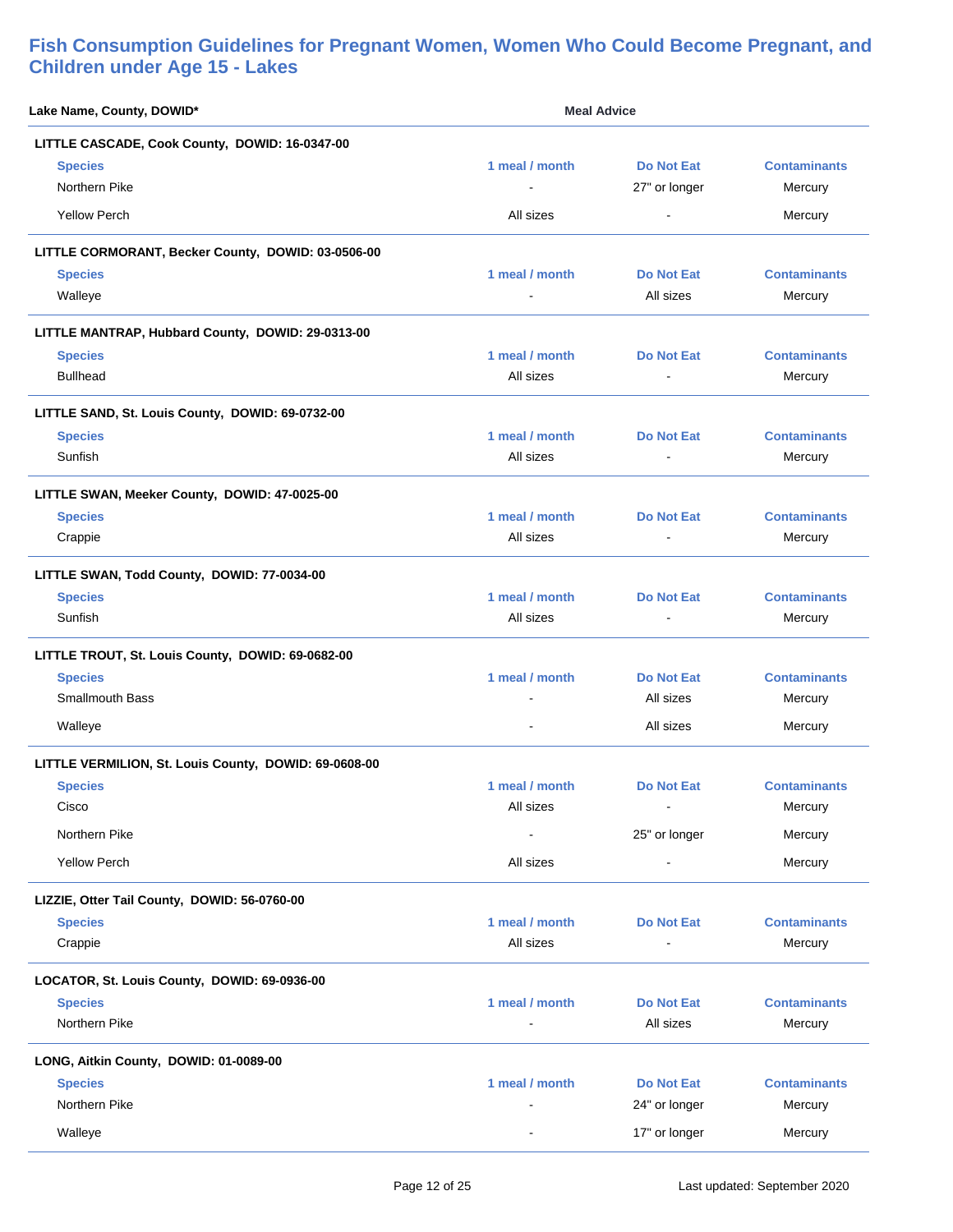| Lake Name, County, DOWID*                             | <b>Meal Advice</b>       |                                    |                                |
|-------------------------------------------------------|--------------------------|------------------------------------|--------------------------------|
| LITTLE CASCADE, Cook County, DOWID: 16-0347-00        |                          |                                    |                                |
| <b>Species</b><br>Northern Pike                       | 1 meal / month           | <b>Do Not Eat</b><br>27" or longer | <b>Contaminants</b><br>Mercury |
| <b>Yellow Perch</b>                                   | All sizes                | $\blacksquare$                     | Mercury                        |
| LITTLE CORMORANT, Becker County, DOWID: 03-0506-00    |                          |                                    |                                |
| <b>Species</b>                                        | 1 meal / month           | <b>Do Not Eat</b>                  | <b>Contaminants</b>            |
| Walleye                                               |                          | All sizes                          | Mercury                        |
| LITTLE MANTRAP, Hubbard County, DOWID: 29-0313-00     |                          |                                    |                                |
| <b>Species</b>                                        | 1 meal / month           | Do Not Eat                         | <b>Contaminants</b>            |
| <b>Bullhead</b>                                       | All sizes                | $\blacksquare$                     | Mercury                        |
| LITTLE SAND, St. Louis County, DOWID: 69-0732-00      |                          |                                    |                                |
| <b>Species</b>                                        | 1 meal / month           | <b>Do Not Eat</b>                  | <b>Contaminants</b>            |
| Sunfish                                               | All sizes                | ÷                                  | Mercury                        |
| LITTLE SWAN, Meeker County, DOWID: 47-0025-00         |                          |                                    |                                |
| <b>Species</b>                                        | 1 meal / month           | <b>Do Not Eat</b>                  | <b>Contaminants</b>            |
| Crappie                                               | All sizes                |                                    | Mercury                        |
| LITTLE SWAN, Todd County, DOWID: 77-0034-00           |                          |                                    |                                |
| <b>Species</b>                                        | 1 meal / month           | <b>Do Not Eat</b>                  | <b>Contaminants</b>            |
| Sunfish                                               | All sizes                | $\overline{\phantom{a}}$           | Mercury                        |
| LITTLE TROUT, St. Louis County, DOWID: 69-0682-00     |                          |                                    |                                |
| <b>Species</b>                                        | 1 meal / month           | <b>Do Not Eat</b>                  | <b>Contaminants</b>            |
| <b>Smallmouth Bass</b>                                |                          | All sizes                          | Mercury                        |
| Walleye                                               |                          | All sizes                          | Mercury                        |
| LITTLE VERMILION, St. Louis County, DOWID: 69-0608-00 |                          |                                    |                                |
| <b>Species</b>                                        | 1 meal / month           | <b>Do Not Eat</b>                  | <b>Contaminants</b>            |
| Cisco                                                 | All sizes                | $\blacksquare$                     | Mercury                        |
| Northern Pike                                         |                          | 25" or longer                      | Mercury                        |
| <b>Yellow Perch</b>                                   | All sizes                |                                    | Mercury                        |
| LIZZIE, Otter Tail County, DOWID: 56-0760-00          |                          |                                    |                                |
| <b>Species</b>                                        | 1 meal / month           | <b>Do Not Eat</b>                  | <b>Contaminants</b>            |
| Crappie                                               | All sizes                | $\overline{\phantom{a}}$           | Mercury                        |
| LOCATOR, St. Louis County, DOWID: 69-0936-00          |                          |                                    |                                |
| <b>Species</b>                                        | 1 meal / month           | <b>Do Not Eat</b>                  | <b>Contaminants</b>            |
| Northern Pike                                         |                          | All sizes                          | Mercury                        |
| LONG, Aitkin County, DOWID: 01-0089-00                |                          |                                    |                                |
| <b>Species</b>                                        | 1 meal / month           | <b>Do Not Eat</b>                  | <b>Contaminants</b>            |
| Northern Pike                                         |                          | 24" or longer                      | Mercury                        |
| Walleye                                               | $\overline{\phantom{a}}$ | 17" or longer                      | Mercury                        |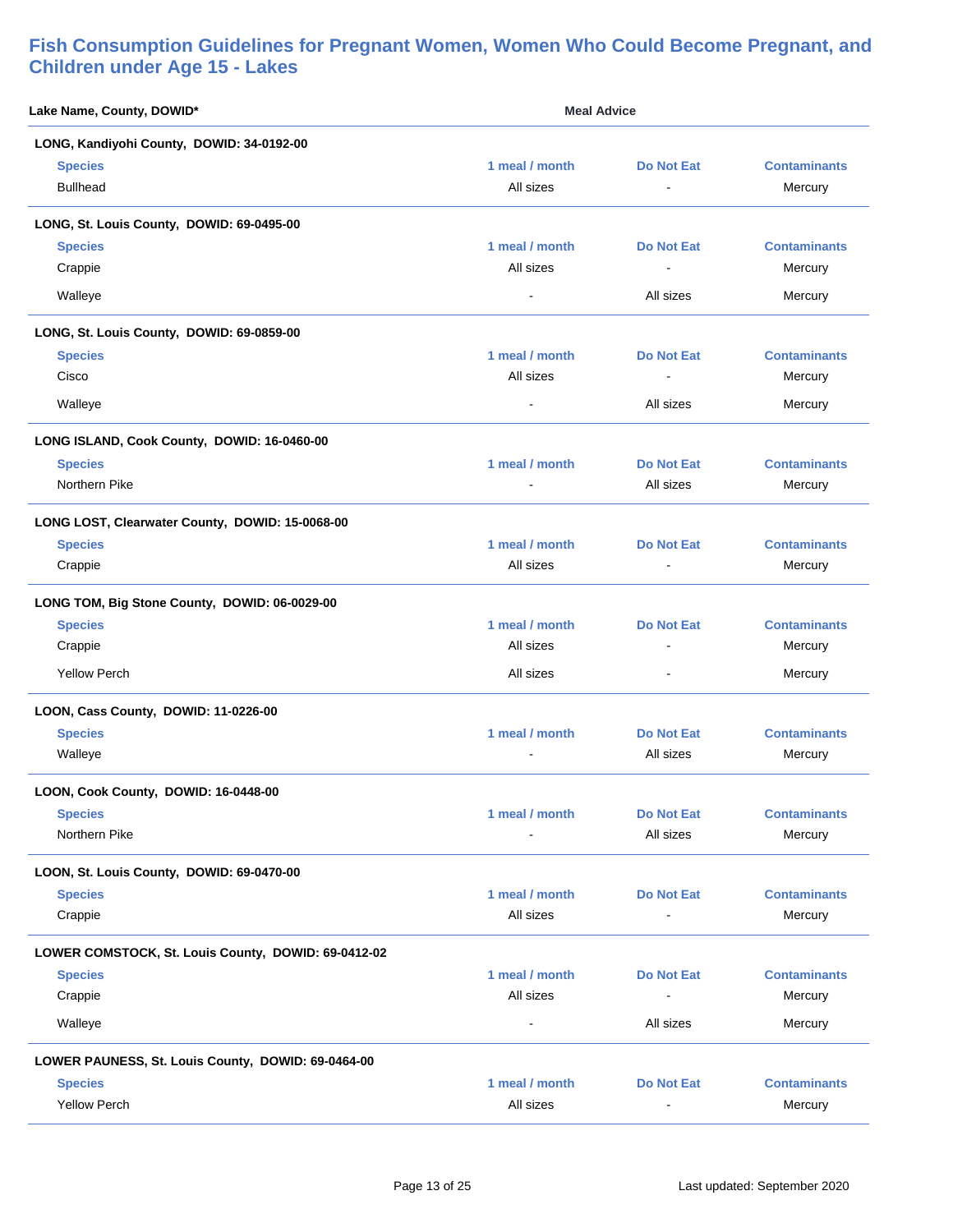| Lake Name, County, DOWID*                           | <b>Meal Advice</b> |                   |                     |
|-----------------------------------------------------|--------------------|-------------------|---------------------|
| LONG, Kandiyohi County, DOWID: 34-0192-00           |                    |                   |                     |
| <b>Species</b>                                      | 1 meal / month     | <b>Do Not Eat</b> | <b>Contaminants</b> |
| <b>Bullhead</b>                                     | All sizes          |                   | Mercury             |
| LONG, St. Louis County, DOWID: 69-0495-00           |                    |                   |                     |
| <b>Species</b>                                      | 1 meal / month     | Do Not Eat        | <b>Contaminants</b> |
| Crappie                                             | All sizes          | $\blacksquare$    | Mercury             |
| Walleye                                             |                    | All sizes         | Mercury             |
| LONG, St. Louis County, DOWID: 69-0859-00           |                    |                   |                     |
| <b>Species</b>                                      | 1 meal / month     | <b>Do Not Eat</b> | <b>Contaminants</b> |
| Cisco                                               | All sizes          | $\blacksquare$    | Mercury             |
| Walleye                                             |                    | All sizes         | Mercury             |
| LONG ISLAND, Cook County, DOWID: 16-0460-00         |                    |                   |                     |
| <b>Species</b>                                      | 1 meal / month     | Do Not Eat        | <b>Contaminants</b> |
| Northern Pike                                       | $\blacksquare$     | All sizes         | Mercury             |
| LONG LOST, Clearwater County, DOWID: 15-0068-00     |                    |                   |                     |
| <b>Species</b>                                      | 1 meal / month     | <b>Do Not Eat</b> | <b>Contaminants</b> |
| Crappie                                             | All sizes          |                   | Mercury             |
| LONG TOM, Big Stone County, DOWID: 06-0029-00       |                    |                   |                     |
| <b>Species</b>                                      | 1 meal / month     | <b>Do Not Eat</b> | <b>Contaminants</b> |
| Crappie                                             | All sizes          | $\blacksquare$    | Mercury             |
| <b>Yellow Perch</b>                                 | All sizes          | $\blacksquare$    | Mercury             |
| LOON, Cass County, DOWID: 11-0226-00                |                    |                   |                     |
| <b>Species</b>                                      | 1 meal / month     | Do Not Eat        | <b>Contaminants</b> |
| Walleye                                             |                    | All sizes         | Mercury             |
| LOON, Cook County, DOWID: 16-0448-00                |                    |                   |                     |
| <b>Species</b>                                      | 1 meal / month     | <b>Do Not Eat</b> | <b>Contaminants</b> |
| Northern Pike                                       |                    | All sizes         | Mercury             |
| LOON, St. Louis County, DOWID: 69-0470-00           |                    |                   |                     |
| <b>Species</b>                                      | 1 meal / month     | <b>Do Not Eat</b> | <b>Contaminants</b> |
| Crappie                                             | All sizes          |                   | Mercury             |
| LOWER COMSTOCK, St. Louis County, DOWID: 69-0412-02 |                    |                   |                     |
| <b>Species</b>                                      | 1 meal / month     | <b>Do Not Eat</b> | <b>Contaminants</b> |
| Crappie                                             | All sizes          | $\overline{a}$    | Mercury             |
| Walleye                                             | $\blacksquare$     | All sizes         | Mercury             |
| LOWER PAUNESS, St. Louis County, DOWID: 69-0464-00  |                    |                   |                     |
| <b>Species</b>                                      | 1 meal / month     | <b>Do Not Eat</b> | <b>Contaminants</b> |
| <b>Yellow Perch</b>                                 | All sizes          |                   | Mercury             |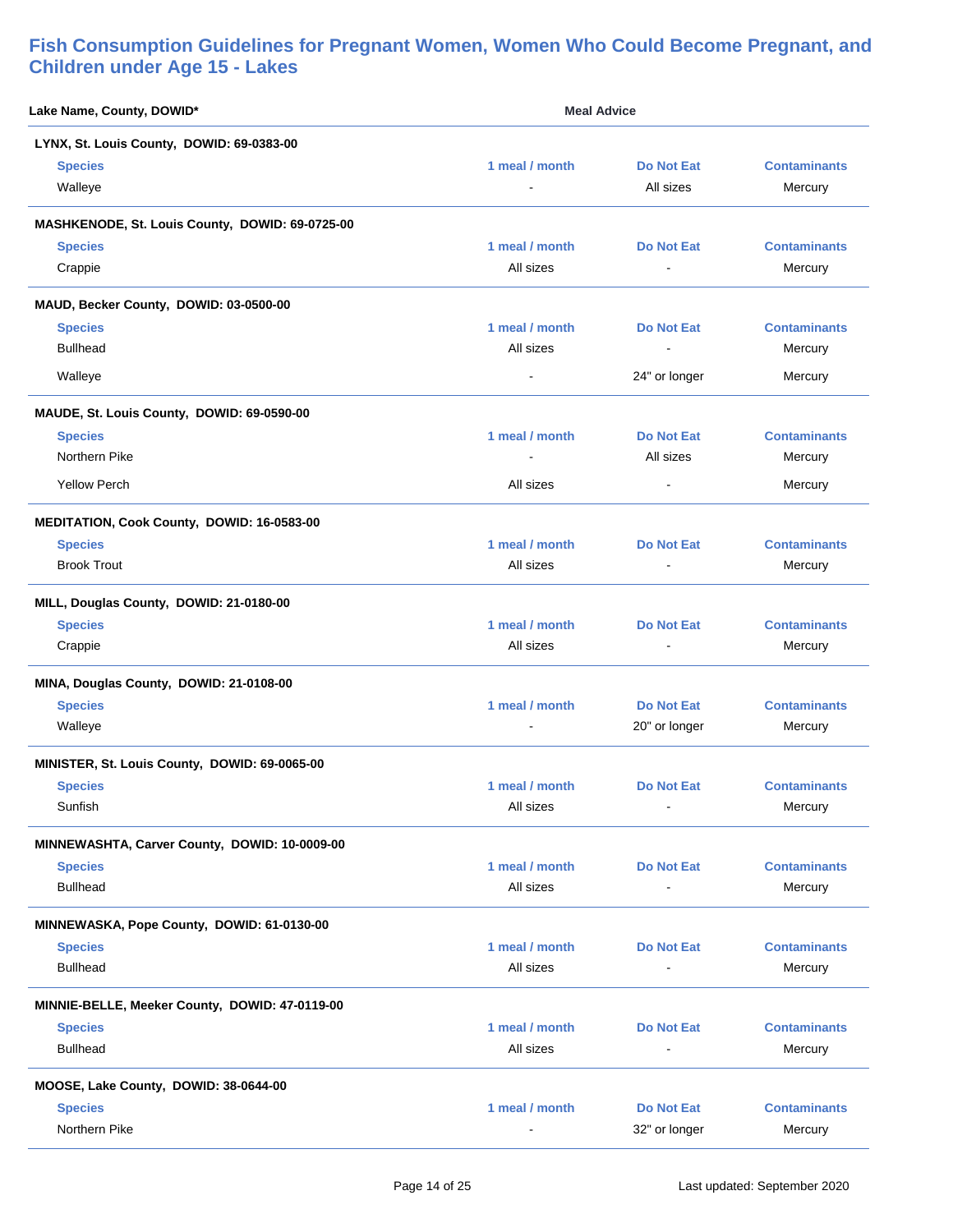| Lake Name, County, DOWID*                       | <b>Meal Advice</b> |                   |                     |
|-------------------------------------------------|--------------------|-------------------|---------------------|
| LYNX, St. Louis County, DOWID: 69-0383-00       |                    |                   |                     |
| <b>Species</b>                                  | 1 meal / month     | <b>Do Not Eat</b> | <b>Contaminants</b> |
| Walleye                                         |                    | All sizes         | Mercury             |
| MASHKENODE, St. Louis County, DOWID: 69-0725-00 |                    |                   |                     |
| <b>Species</b>                                  | 1 meal / month     | <b>Do Not Eat</b> | <b>Contaminants</b> |
| Crappie                                         | All sizes          |                   | Mercury             |
| MAUD, Becker County, DOWID: 03-0500-00          |                    |                   |                     |
| <b>Species</b>                                  | 1 meal / month     | <b>Do Not Eat</b> | <b>Contaminants</b> |
| <b>Bullhead</b>                                 | All sizes          |                   | Mercury             |
| Walleye                                         |                    | 24" or longer     | Mercury             |
| MAUDE, St. Louis County, DOWID: 69-0590-00      |                    |                   |                     |
| <b>Species</b>                                  | 1 meal / month     | <b>Do Not Eat</b> | <b>Contaminants</b> |
| Northern Pike                                   | $\blacksquare$     | All sizes         | Mercury             |
| <b>Yellow Perch</b>                             | All sizes          | $\blacksquare$    | Mercury             |
| MEDITATION, Cook County, DOWID: 16-0583-00      |                    |                   |                     |
| <b>Species</b>                                  | 1 meal / month     | <b>Do Not Eat</b> | <b>Contaminants</b> |
| <b>Brook Trout</b>                              | All sizes          | $\blacksquare$    | Mercury             |
| MILL, Douglas County, DOWID: 21-0180-00         |                    |                   |                     |
| <b>Species</b>                                  | 1 meal / month     | <b>Do Not Eat</b> | <b>Contaminants</b> |
| Crappie                                         | All sizes          |                   | Mercury             |
| MINA, Douglas County, DOWID: 21-0108-00         |                    |                   |                     |
| <b>Species</b>                                  | 1 meal / month     | Do Not Eat        | <b>Contaminants</b> |
| Walleye                                         |                    | 20" or longer     | Mercury             |
| MINISTER, St. Louis County, DOWID: 69-0065-00   |                    |                   |                     |
| <b>Species</b>                                  | 1 meal / month     | Do Not Eat        | <b>Contaminants</b> |
| Sunfish                                         | All sizes          | $\blacksquare$    | Mercury             |
| MINNEWASHTA, Carver County, DOWID: 10-0009-00   |                    |                   |                     |
| <b>Species</b>                                  | 1 meal / month     | <b>Do Not Eat</b> | <b>Contaminants</b> |
| <b>Bullhead</b>                                 | All sizes          | ä,                | Mercury             |
| MINNEWASKA, Pope County, DOWID: 61-0130-00      |                    |                   |                     |
| <b>Species</b>                                  | 1 meal / month     | <b>Do Not Eat</b> | <b>Contaminants</b> |
| <b>Bullhead</b>                                 | All sizes          | $\blacksquare$    | Mercury             |
| MINNIE-BELLE, Meeker County, DOWID: 47-0119-00  |                    |                   |                     |
| <b>Species</b>                                  | 1 meal / month     | <b>Do Not Eat</b> | <b>Contaminants</b> |
| <b>Bullhead</b>                                 | All sizes          |                   | Mercury             |
| MOOSE, Lake County, DOWID: 38-0644-00           |                    |                   |                     |
| <b>Species</b>                                  | 1 meal / month     | <b>Do Not Eat</b> | <b>Contaminants</b> |
| Northern Pike                                   |                    | 32" or longer     | Mercury             |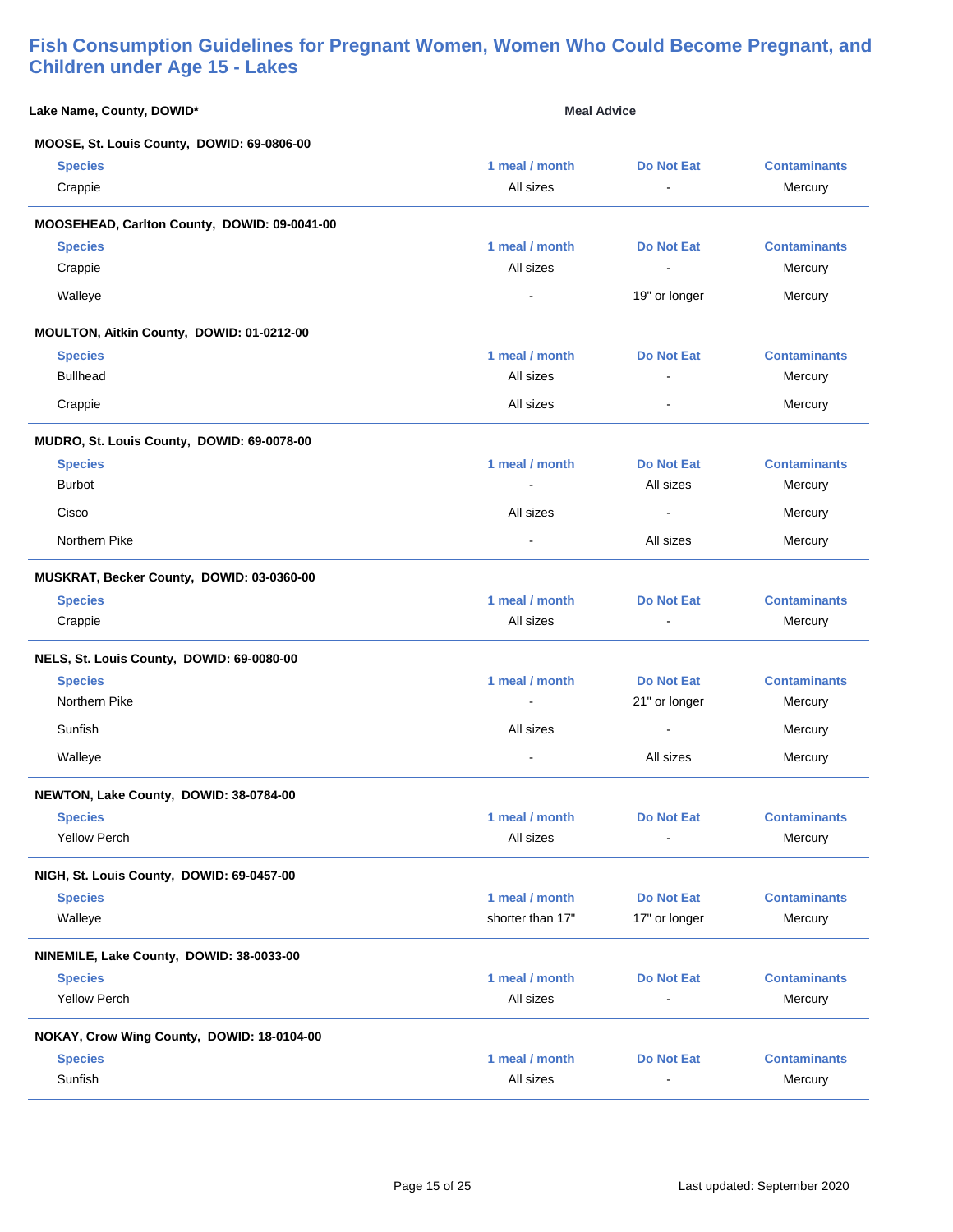| Lake Name, County, DOWID*                    |                  | <b>Meal Advice</b> |                     |
|----------------------------------------------|------------------|--------------------|---------------------|
| MOOSE, St. Louis County, DOWID: 69-0806-00   |                  |                    |                     |
| <b>Species</b>                               | 1 meal / month   | <b>Do Not Eat</b>  | <b>Contaminants</b> |
| Crappie                                      | All sizes        |                    | Mercury             |
| MOOSEHEAD, Carlton County, DOWID: 09-0041-00 |                  |                    |                     |
| <b>Species</b>                               | 1 meal / month   | <b>Do Not Eat</b>  | <b>Contaminants</b> |
| Crappie                                      | All sizes        | $\blacksquare$     | Mercury             |
| Walleye                                      |                  | 19" or longer      | Mercury             |
| MOULTON, Aitkin County, DOWID: 01-0212-00    |                  |                    |                     |
| <b>Species</b>                               | 1 meal / month   | <b>Do Not Eat</b>  | <b>Contaminants</b> |
| <b>Bullhead</b>                              | All sizes        | $\overline{a}$     | Mercury             |
| Crappie                                      | All sizes        | $\sim$             | Mercury             |
| MUDRO, St. Louis County, DOWID: 69-0078-00   |                  |                    |                     |
| <b>Species</b>                               | 1 meal / month   | <b>Do Not Eat</b>  | <b>Contaminants</b> |
| <b>Burbot</b>                                |                  | All sizes          | Mercury             |
| Cisco                                        | All sizes        | $\blacksquare$     | Mercury             |
| Northern Pike                                | $\blacksquare$   | All sizes          | Mercury             |
| MUSKRAT, Becker County, DOWID: 03-0360-00    |                  |                    |                     |
| <b>Species</b>                               | 1 meal / month   | <b>Do Not Eat</b>  | <b>Contaminants</b> |
| Crappie                                      | All sizes        |                    | Mercury             |
| NELS, St. Louis County, DOWID: 69-0080-00    |                  |                    |                     |
| <b>Species</b>                               | 1 meal / month   | <b>Do Not Eat</b>  | <b>Contaminants</b> |
| Northern Pike                                |                  | 21" or longer      | Mercury             |
| Sunfish                                      | All sizes        | $\blacksquare$     | Mercury             |
| Walleye                                      |                  | All sizes          | Mercury             |
| NEWTON, Lake County, DOWID: 38-0784-00       |                  |                    |                     |
| <b>Species</b>                               | 1 meal / month   | <b>Do Not Eat</b>  | <b>Contaminants</b> |
| <b>Yellow Perch</b>                          | All sizes        |                    | Mercury             |
| NIGH, St. Louis County, DOWID: 69-0457-00    |                  |                    |                     |
| <b>Species</b>                               | 1 meal / month   | <b>Do Not Eat</b>  | <b>Contaminants</b> |
| Walleye                                      | shorter than 17" | 17" or longer      | Mercury             |
| NINEMILE, Lake County, DOWID: 38-0033-00     |                  |                    |                     |
| <b>Species</b>                               | 1 meal / month   | <b>Do Not Eat</b>  | <b>Contaminants</b> |
| <b>Yellow Perch</b>                          | All sizes        |                    | Mercury             |
| NOKAY, Crow Wing County, DOWID: 18-0104-00   |                  |                    |                     |
| <b>Species</b>                               | 1 meal / month   | <b>Do Not Eat</b>  | <b>Contaminants</b> |
| Sunfish                                      | All sizes        |                    | Mercury             |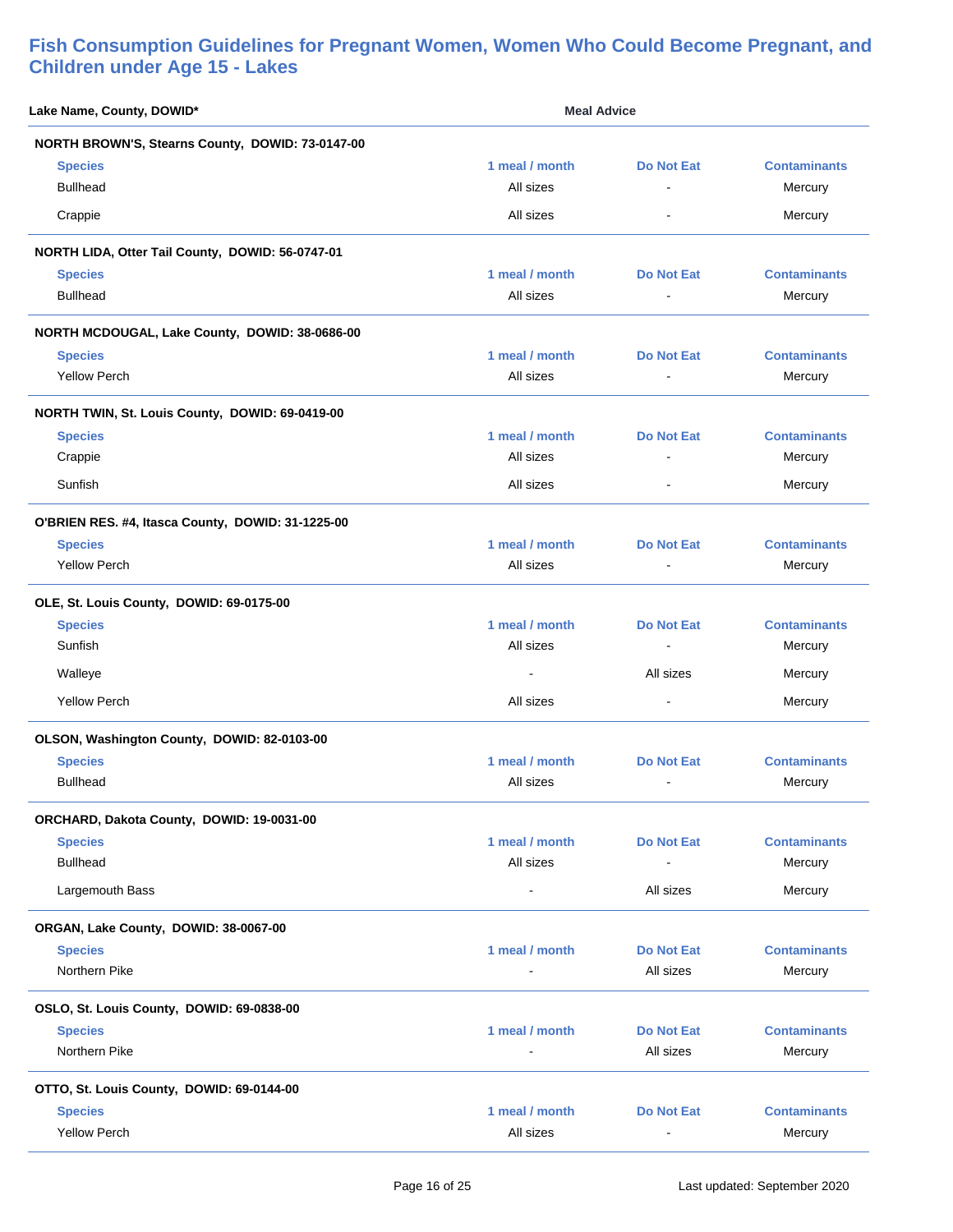| Lake Name, County, DOWID*                         | <b>Meal Advice</b>          |                                     |                                |
|---------------------------------------------------|-----------------------------|-------------------------------------|--------------------------------|
| NORTH BROWN'S, Stearns County, DOWID: 73-0147-00  |                             |                                     |                                |
| <b>Species</b><br><b>Bullhead</b>                 | 1 meal / month<br>All sizes | <b>Do Not Eat</b><br>$\blacksquare$ | <b>Contaminants</b><br>Mercury |
| Crappie                                           | All sizes                   | $\blacksquare$                      | Mercury                        |
| NORTH LIDA, Otter Tail County, DOWID: 56-0747-01  |                             |                                     |                                |
| <b>Species</b>                                    | 1 meal / month              | <b>Do Not Eat</b>                   | <b>Contaminants</b>            |
| <b>Bullhead</b>                                   | All sizes                   |                                     | Mercury                        |
| NORTH MCDOUGAL, Lake County, DOWID: 38-0686-00    |                             |                                     |                                |
| <b>Species</b>                                    | 1 meal / month              | <b>Do Not Eat</b>                   | <b>Contaminants</b>            |
| <b>Yellow Perch</b>                               | All sizes                   | $\blacksquare$                      | Mercury                        |
| NORTH TWIN, St. Louis County, DOWID: 69-0419-00   |                             |                                     |                                |
| <b>Species</b>                                    | 1 meal / month              | <b>Do Not Eat</b>                   | <b>Contaminants</b>            |
| Crappie                                           | All sizes                   |                                     | Mercury                        |
| Sunfish                                           | All sizes                   | $\blacksquare$                      | Mercury                        |
| O'BRIEN RES. #4, Itasca County, DOWID: 31-1225-00 |                             |                                     |                                |
| <b>Species</b>                                    | 1 meal / month              | <b>Do Not Eat</b>                   | <b>Contaminants</b>            |
| <b>Yellow Perch</b>                               | All sizes                   | $\blacksquare$                      | Mercury                        |
| OLE, St. Louis County, DOWID: 69-0175-00          |                             |                                     |                                |
| <b>Species</b>                                    | 1 meal / month              | <b>Do Not Eat</b>                   | <b>Contaminants</b>            |
| Sunfish                                           | All sizes                   | $\blacksquare$                      | Mercury                        |
| Walleye                                           |                             | All sizes                           | Mercury                        |
| <b>Yellow Perch</b>                               | All sizes                   |                                     | Mercury                        |
| OLSON, Washington County, DOWID: 82-0103-00       |                             |                                     |                                |
| <b>Species</b>                                    | 1 meal / month              | Do Not Eat                          | <b>Contaminants</b>            |
| <b>Bullhead</b>                                   | All sizes                   |                                     | Mercury                        |
| ORCHARD, Dakota County, DOWID: 19-0031-00         |                             |                                     |                                |
| <b>Species</b>                                    | 1 meal / month              | <b>Do Not Eat</b>                   | <b>Contaminants</b>            |
| <b>Bullhead</b>                                   | All sizes                   |                                     | Mercury                        |
| Largemouth Bass                                   | $\blacksquare$              | All sizes                           | Mercury                        |
| ORGAN, Lake County, DOWID: 38-0067-00             |                             |                                     |                                |
| <b>Species</b>                                    | 1 meal / month              | <b>Do Not Eat</b>                   | <b>Contaminants</b>            |
| Northern Pike                                     |                             | All sizes                           | Mercury                        |
| OSLO, St. Louis County, DOWID: 69-0838-00         |                             |                                     |                                |
| <b>Species</b>                                    | 1 meal / month              | <b>Do Not Eat</b>                   | <b>Contaminants</b>            |
| Northern Pike                                     |                             | All sizes                           | Mercury                        |
| OTTO, St. Louis County, DOWID: 69-0144-00         |                             |                                     |                                |
| <b>Species</b>                                    | 1 meal / month              | <b>Do Not Eat</b>                   | <b>Contaminants</b>            |
| <b>Yellow Perch</b>                               | All sizes                   | $\blacksquare$                      | Mercury                        |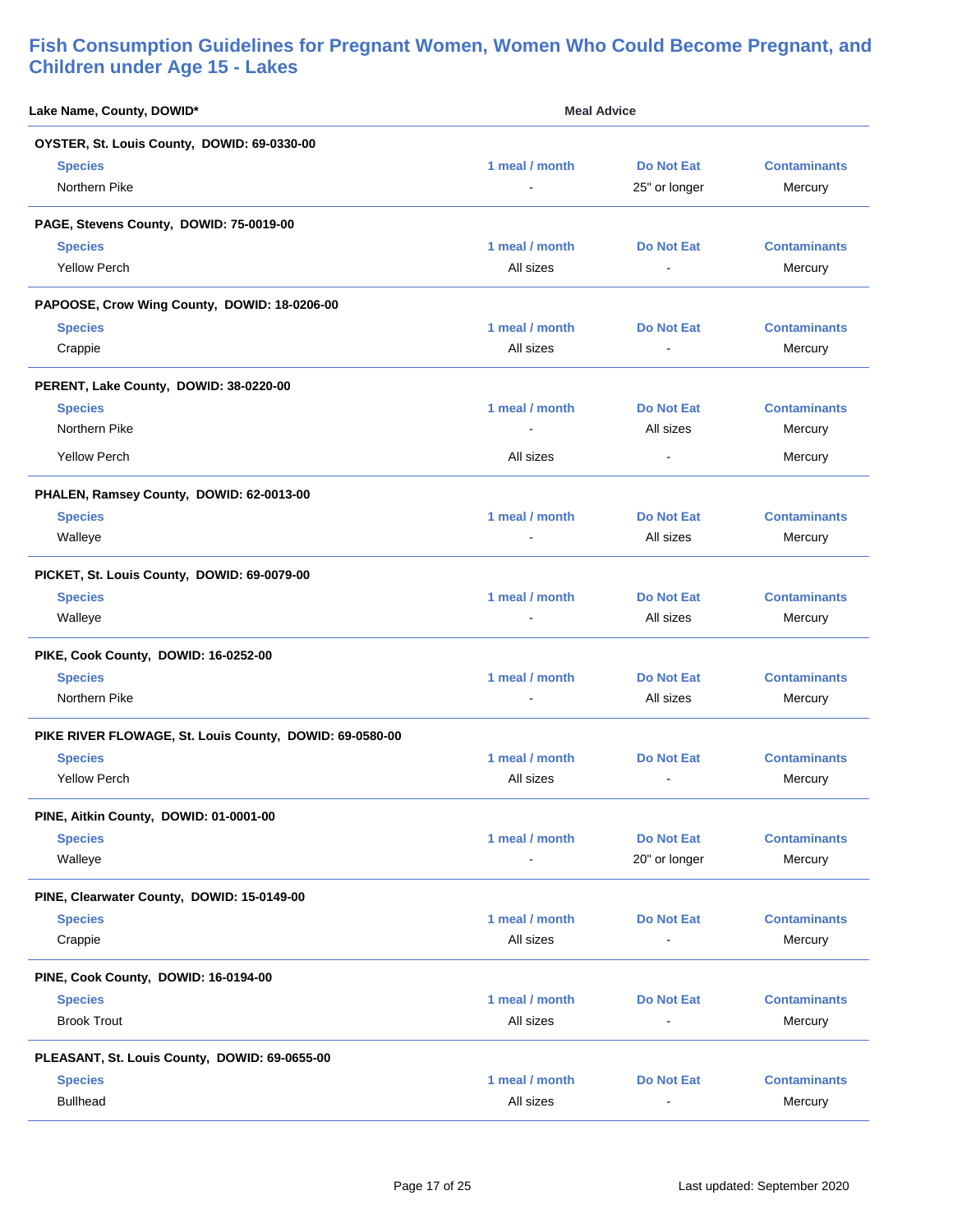| Lake Name, County, DOWID*                               | <b>Meal Advice</b> |                          |                     |
|---------------------------------------------------------|--------------------|--------------------------|---------------------|
| OYSTER, St. Louis County, DOWID: 69-0330-00             |                    |                          |                     |
| <b>Species</b>                                          | 1 meal / month     | <b>Do Not Eat</b>        | <b>Contaminants</b> |
| Northern Pike                                           |                    | 25" or longer            | Mercury             |
| PAGE, Stevens County, DOWID: 75-0019-00                 |                    |                          |                     |
| <b>Species</b>                                          | 1 meal / month     | <b>Do Not Eat</b>        | <b>Contaminants</b> |
| <b>Yellow Perch</b>                                     | All sizes          |                          | Mercury             |
| PAPOOSE, Crow Wing County, DOWID: 18-0206-00            |                    |                          |                     |
| <b>Species</b>                                          | 1 meal / month     | <b>Do Not Eat</b>        | <b>Contaminants</b> |
| Crappie                                                 | All sizes          |                          | Mercury             |
| PERENT, Lake County, DOWID: 38-0220-00                  |                    |                          |                     |
| <b>Species</b>                                          | 1 meal / month     | <b>Do Not Eat</b>        | <b>Contaminants</b> |
| Northern Pike                                           |                    | All sizes                | Mercury             |
| <b>Yellow Perch</b>                                     | All sizes          | $\sim$                   | Mercury             |
| PHALEN, Ramsey County, DOWID: 62-0013-00                |                    |                          |                     |
| <b>Species</b>                                          | 1 meal / month     | <b>Do Not Eat</b>        | <b>Contaminants</b> |
| Walleye                                                 |                    | All sizes                | Mercury             |
| PICKET, St. Louis County, DOWID: 69-0079-00             |                    |                          |                     |
| <b>Species</b>                                          | 1 meal / month     | <b>Do Not Eat</b>        | <b>Contaminants</b> |
| Walleye                                                 |                    | All sizes                | Mercury             |
| PIKE, Cook County, DOWID: 16-0252-00                    |                    |                          |                     |
| <b>Species</b>                                          | 1 meal / month     | <b>Do Not Eat</b>        | <b>Contaminants</b> |
| Northern Pike                                           |                    | All sizes                | Mercury             |
| PIKE RIVER FLOWAGE, St. Louis County, DOWID: 69-0580-00 |                    |                          |                     |
| <b>Species</b>                                          | 1 meal / month     | <b>Do Not Eat</b>        | <b>Contaminants</b> |
| <b>Yellow Perch</b>                                     | All sizes          | ٠                        | Mercury             |
| PINE, Aitkin County, DOWID: 01-0001-00                  |                    |                          |                     |
| <b>Species</b>                                          | 1 meal / month     | <b>Do Not Eat</b>        | <b>Contaminants</b> |
| Walleye                                                 |                    | 20" or longer            | Mercury             |
| PINE, Clearwater County, DOWID: 15-0149-00              |                    |                          |                     |
| <b>Species</b>                                          | 1 meal / month     | <b>Do Not Eat</b>        | <b>Contaminants</b> |
| Crappie                                                 | All sizes          | $\overline{\phantom{a}}$ | Mercury             |
| PINE, Cook County, DOWID: 16-0194-00                    |                    |                          |                     |
| <b>Species</b>                                          | 1 meal / month     | <b>Do Not Eat</b>        | <b>Contaminants</b> |
| <b>Brook Trout</b>                                      | All sizes          | $\overline{\phantom{a}}$ | Mercury             |
| PLEASANT, St. Louis County, DOWID: 69-0655-00           |                    |                          |                     |
| <b>Species</b>                                          | 1 meal / month     | <b>Do Not Eat</b>        | <b>Contaminants</b> |
| <b>Bullhead</b>                                         | All sizes          |                          | Mercury             |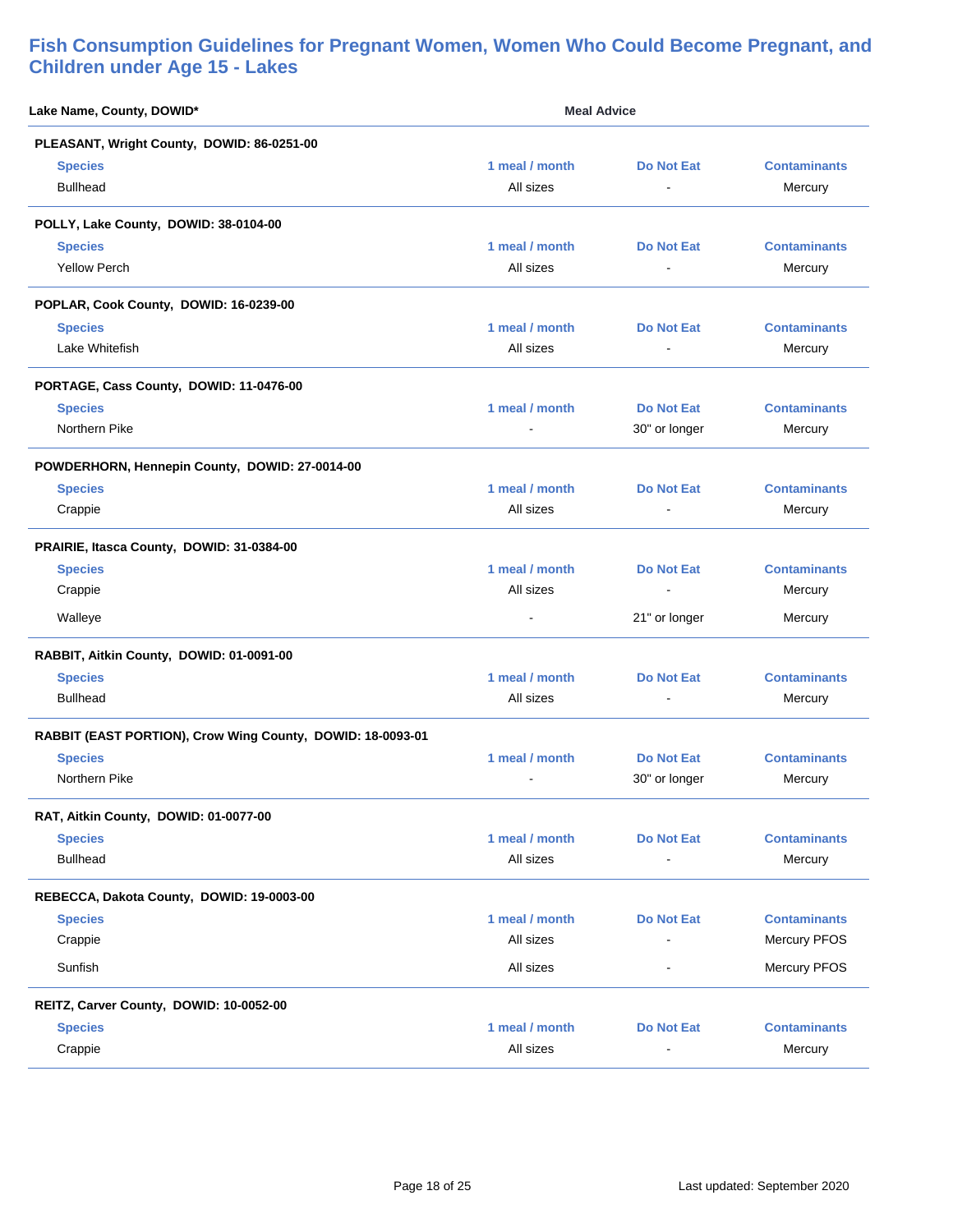| Lake Name, County, DOWID*                                  | <b>Meal Advice</b> |                   |                     |
|------------------------------------------------------------|--------------------|-------------------|---------------------|
| PLEASANT, Wright County, DOWID: 86-0251-00                 |                    |                   |                     |
| <b>Species</b>                                             | 1 meal / month     | <b>Do Not Eat</b> | <b>Contaminants</b> |
| <b>Bullhead</b>                                            | All sizes          | $\blacksquare$    | Mercury             |
| POLLY, Lake County, DOWID: 38-0104-00                      |                    |                   |                     |
| <b>Species</b>                                             | 1 meal / month     | <b>Do Not Eat</b> | <b>Contaminants</b> |
| <b>Yellow Perch</b>                                        | All sizes          |                   | Mercury             |
| POPLAR, Cook County, DOWID: 16-0239-00                     |                    |                   |                     |
| <b>Species</b>                                             | 1 meal / month     | <b>Do Not Eat</b> | <b>Contaminants</b> |
| Lake Whitefish                                             | All sizes          |                   | Mercury             |
| PORTAGE, Cass County, DOWID: 11-0476-00                    |                    |                   |                     |
| <b>Species</b>                                             | 1 meal / month     | <b>Do Not Eat</b> | <b>Contaminants</b> |
| Northern Pike                                              |                    | 30" or longer     | Mercury             |
| POWDERHORN, Hennepin County, DOWID: 27-0014-00             |                    |                   |                     |
| <b>Species</b>                                             | 1 meal / month     | <b>Do Not Eat</b> | <b>Contaminants</b> |
| Crappie                                                    | All sizes          | $\blacksquare$    | Mercury             |
| PRAIRIE, Itasca County, DOWID: 31-0384-00                  |                    |                   |                     |
| <b>Species</b>                                             | 1 meal / month     | <b>Do Not Eat</b> | <b>Contaminants</b> |
| Crappie                                                    | All sizes          |                   | Mercury             |
| Walleye                                                    |                    | 21" or longer     | Mercury             |
| RABBIT, Aitkin County, DOWID: 01-0091-00                   |                    |                   |                     |
| <b>Species</b>                                             | 1 meal / month     | <b>Do Not Eat</b> | <b>Contaminants</b> |
| <b>Bullhead</b>                                            | All sizes          |                   | Mercury             |
| RABBIT (EAST PORTION), Crow Wing County, DOWID: 18-0093-01 |                    |                   |                     |
| <b>Species</b>                                             | 1 meal / month     | <b>Do Not Eat</b> | <b>Contaminants</b> |
| Northern Pike                                              |                    | 30" or longer     | Mercury             |
| RAT, Aitkin County, DOWID: 01-0077-00                      |                    |                   |                     |
| <b>Species</b>                                             | 1 meal / month     | <b>Do Not Eat</b> | <b>Contaminants</b> |
| <b>Bullhead</b>                                            | All sizes          |                   | Mercury             |
| REBECCA, Dakota County, DOWID: 19-0003-00                  |                    |                   |                     |
| <b>Species</b>                                             | 1 meal / month     | <b>Do Not Eat</b> | <b>Contaminants</b> |
| Crappie                                                    | All sizes          |                   | Mercury PFOS        |
| Sunfish                                                    | All sizes          | $\blacksquare$    | Mercury PFOS        |
| REITZ, Carver County, DOWID: 10-0052-00                    |                    |                   |                     |
| <b>Species</b>                                             | 1 meal / month     | <b>Do Not Eat</b> | <b>Contaminants</b> |
| Crappie                                                    | All sizes          |                   | Mercury             |
|                                                            |                    |                   |                     |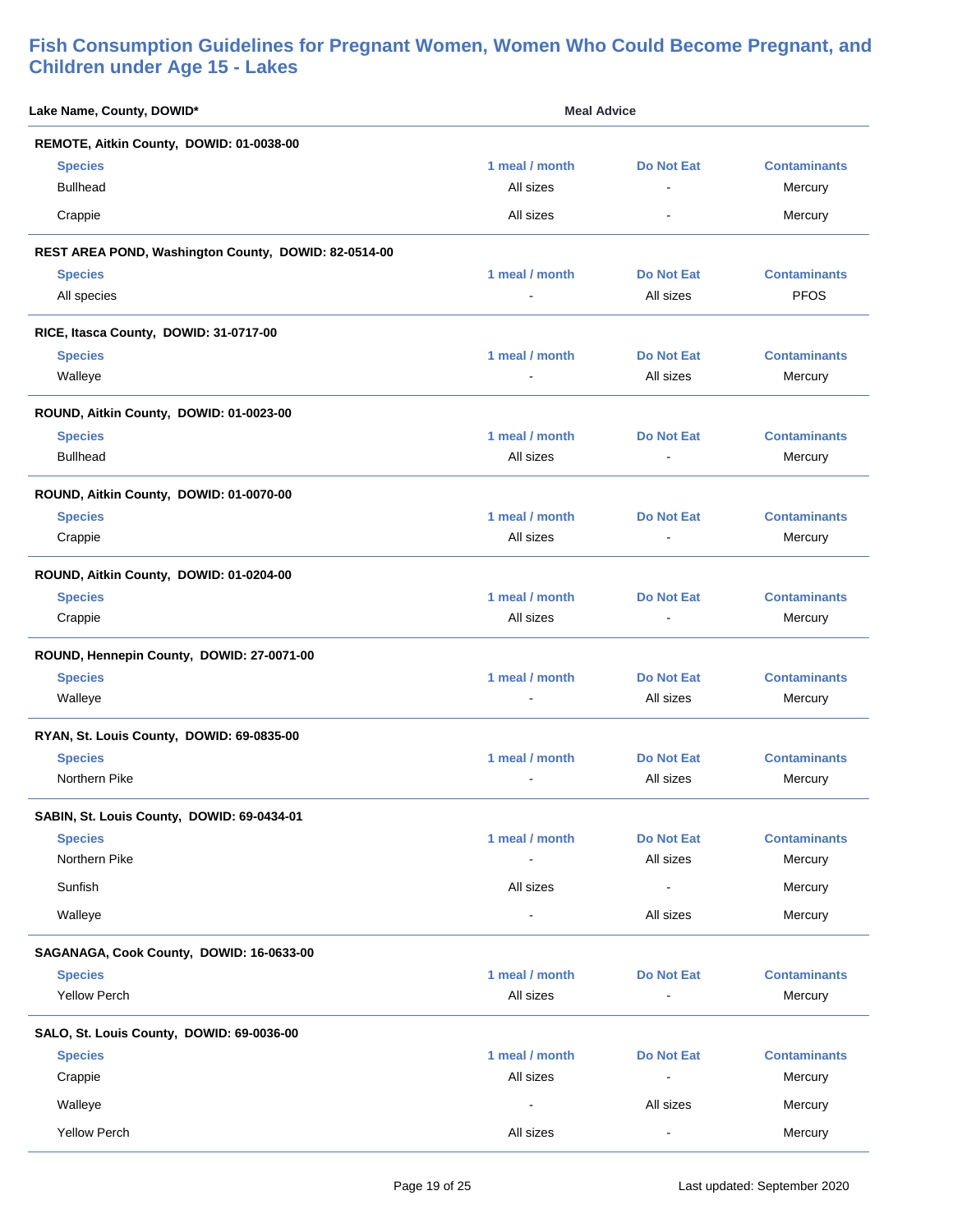| Lake Name, County, DOWID*                            | <b>Meal Advice</b>       |                          |                     |
|------------------------------------------------------|--------------------------|--------------------------|---------------------|
| REMOTE, Aitkin County, DOWID: 01-0038-00             |                          |                          |                     |
| <b>Species</b>                                       | 1 meal / month           | <b>Do Not Eat</b>        | <b>Contaminants</b> |
| <b>Bullhead</b>                                      | All sizes                | ÷.                       | Mercury             |
| Crappie                                              | All sizes                | $\blacksquare$           | Mercury             |
| REST AREA POND, Washington County, DOWID: 82-0514-00 |                          |                          |                     |
| <b>Species</b>                                       | 1 meal / month           | <b>Do Not Eat</b>        | <b>Contaminants</b> |
| All species                                          |                          | All sizes                | <b>PFOS</b>         |
| RICE, Itasca County, DOWID: 31-0717-00               |                          |                          |                     |
| <b>Species</b>                                       | 1 meal / month           | <b>Do Not Eat</b>        | <b>Contaminants</b> |
| Walleye                                              | $\overline{\phantom{a}}$ | All sizes                | Mercury             |
| ROUND, Aitkin County, DOWID: 01-0023-00              |                          |                          |                     |
| <b>Species</b>                                       | 1 meal / month           | <b>Do Not Eat</b>        | <b>Contaminants</b> |
| <b>Bullhead</b>                                      | All sizes                |                          | Mercury             |
| ROUND, Aitkin County, DOWID: 01-0070-00              |                          |                          |                     |
| <b>Species</b>                                       | 1 meal / month           | <b>Do Not Eat</b>        | <b>Contaminants</b> |
| Crappie                                              | All sizes                |                          | Mercury             |
| ROUND, Aitkin County, DOWID: 01-0204-00              |                          |                          |                     |
| <b>Species</b>                                       | 1 meal / month           | <b>Do Not Eat</b>        | <b>Contaminants</b> |
| Crappie                                              | All sizes                | $\overline{\phantom{a}}$ | Mercury             |
| ROUND, Hennepin County, DOWID: 27-0071-00            |                          |                          |                     |
| <b>Species</b>                                       | 1 meal / month           | <b>Do Not Eat</b>        | <b>Contaminants</b> |
| Walleye                                              |                          | All sizes                | Mercury             |
| RYAN, St. Louis County, DOWID: 69-0835-00            |                          |                          |                     |
| <b>Species</b>                                       | 1 meal / month           | <b>Do Not Eat</b>        | <b>Contaminants</b> |
| Northern Pike                                        |                          | All sizes                | Mercury             |
| SABIN, St. Louis County, DOWID: 69-0434-01           |                          |                          |                     |
| <b>Species</b>                                       | 1 meal / month           | <b>Do Not Eat</b>        | <b>Contaminants</b> |
| Northern Pike                                        |                          | All sizes                | Mercury             |
| Sunfish                                              | All sizes                | $\blacksquare$           | Mercury             |
| Walleye                                              | $\blacksquare$           | All sizes                | Mercury             |
| SAGANAGA, Cook County, DOWID: 16-0633-00             |                          |                          |                     |
| <b>Species</b>                                       | 1 meal / month           | <b>Do Not Eat</b>        | <b>Contaminants</b> |
| <b>Yellow Perch</b>                                  | All sizes                | $\blacksquare$           | Mercury             |
| SALO, St. Louis County, DOWID: 69-0036-00            |                          |                          |                     |
| <b>Species</b>                                       | 1 meal / month           | <b>Do Not Eat</b>        | <b>Contaminants</b> |
| Crappie                                              | All sizes                | $\blacksquare$           | Mercury             |
| Walleye                                              | $\blacksquare$           | All sizes                | Mercury             |
| <b>Yellow Perch</b>                                  | All sizes                | $\blacksquare$           | Mercury             |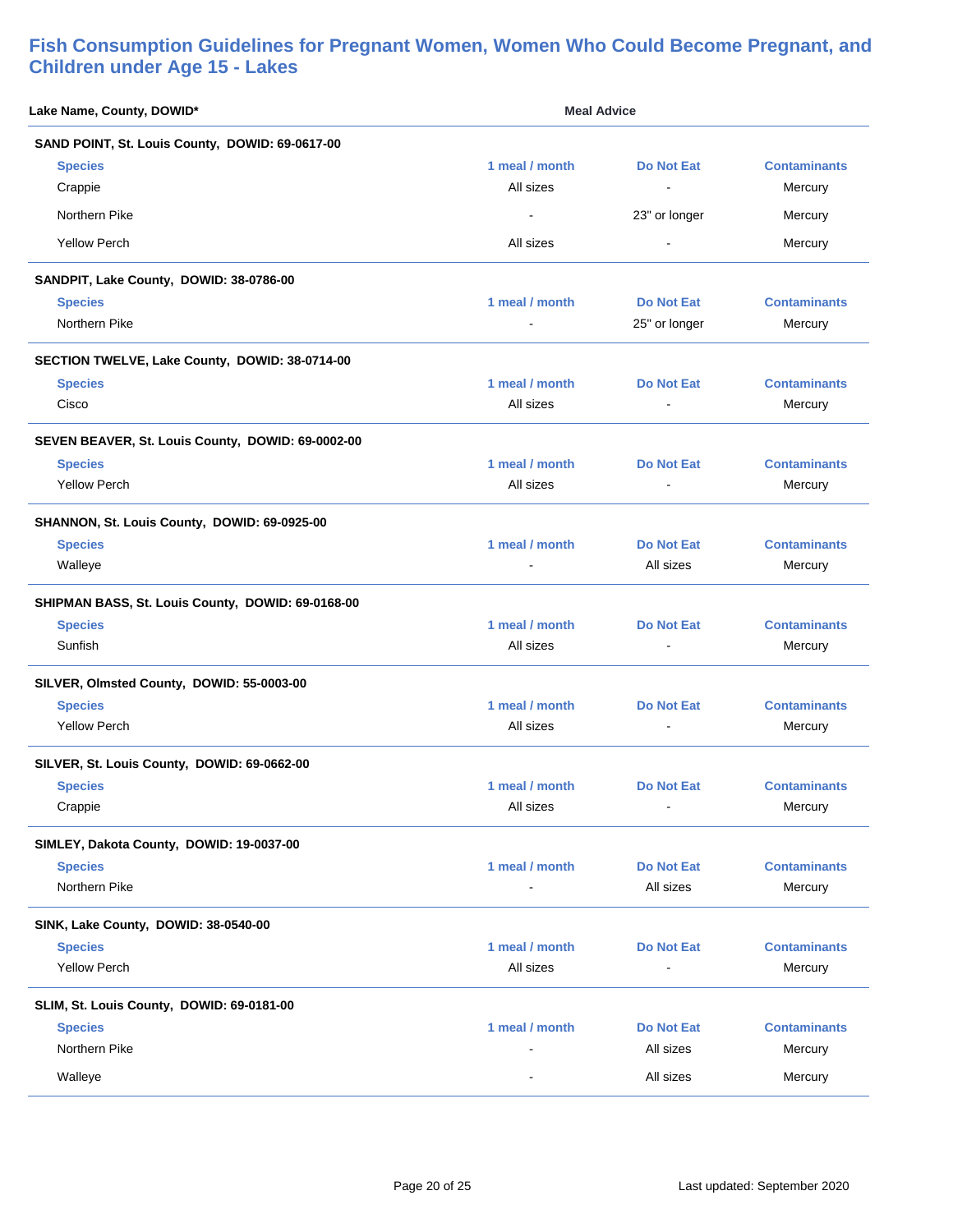| Lake Name, County, DOWID*                         | <b>Meal Advice</b> |                   |                     |
|---------------------------------------------------|--------------------|-------------------|---------------------|
| SAND POINT, St. Louis County, DOWID: 69-0617-00   |                    |                   |                     |
| <b>Species</b>                                    | 1 meal / month     | <b>Do Not Eat</b> | <b>Contaminants</b> |
| Crappie                                           | All sizes          | $\blacksquare$    | Mercury             |
| Northern Pike                                     | $\blacksquare$     | 23" or longer     | Mercury             |
| <b>Yellow Perch</b>                               | All sizes          | $\blacksquare$    | Mercury             |
| SANDPIT, Lake County, DOWID: 38-0786-00           |                    |                   |                     |
| <b>Species</b>                                    | 1 meal / month     | Do Not Eat        | <b>Contaminants</b> |
| Northern Pike                                     |                    | 25" or longer     | Mercury             |
| SECTION TWELVE, Lake County, DOWID: 38-0714-00    |                    |                   |                     |
| <b>Species</b>                                    | 1 meal / month     | <b>Do Not Eat</b> | <b>Contaminants</b> |
| Cisco                                             | All sizes          |                   | Mercury             |
| SEVEN BEAVER, St. Louis County, DOWID: 69-0002-00 |                    |                   |                     |
| <b>Species</b>                                    | 1 meal / month     | <b>Do Not Eat</b> | <b>Contaminants</b> |
| <b>Yellow Perch</b>                               | All sizes          | $\blacksquare$    | Mercury             |
| SHANNON, St. Louis County, DOWID: 69-0925-00      |                    |                   |                     |
| <b>Species</b>                                    | 1 meal / month     | <b>Do Not Eat</b> | <b>Contaminants</b> |
| Walleye                                           |                    | All sizes         | Mercury             |
| SHIPMAN BASS, St. Louis County, DOWID: 69-0168-00 |                    |                   |                     |
| <b>Species</b>                                    | 1 meal / month     | Do Not Eat        | <b>Contaminants</b> |
| Sunfish                                           | All sizes          |                   | Mercury             |
| SILVER, Olmsted County, DOWID: 55-0003-00         |                    |                   |                     |
| <b>Species</b>                                    | 1 meal / month     | <b>Do Not Eat</b> | <b>Contaminants</b> |
| <b>Yellow Perch</b>                               | All sizes          | $\blacksquare$    | Mercury             |
| SILVER, St. Louis County, DOWID: 69-0662-00       |                    |                   |                     |
| <b>Species</b>                                    | 1 meal / month     | Do Not Eat        | <b>Contaminants</b> |
| Crappie                                           | All sizes          |                   | Mercury             |
| SIMLEY, Dakota County, DOWID: 19-0037-00          |                    |                   |                     |
| <b>Species</b>                                    | 1 meal / month     | <b>Do Not Eat</b> | <b>Contaminants</b> |
| Northern Pike                                     |                    | All sizes         | Mercury             |
| SINK, Lake County, DOWID: 38-0540-00              |                    |                   |                     |
| <b>Species</b>                                    | 1 meal / month     | <b>Do Not Eat</b> | <b>Contaminants</b> |
| <b>Yellow Perch</b>                               | All sizes          |                   | Mercury             |
| SLIM, St. Louis County, DOWID: 69-0181-00         |                    |                   |                     |
| <b>Species</b>                                    | 1 meal / month     | <b>Do Not Eat</b> | <b>Contaminants</b> |
| Northern Pike                                     |                    | All sizes         | Mercury             |
| Walleye                                           |                    | All sizes         | Mercury             |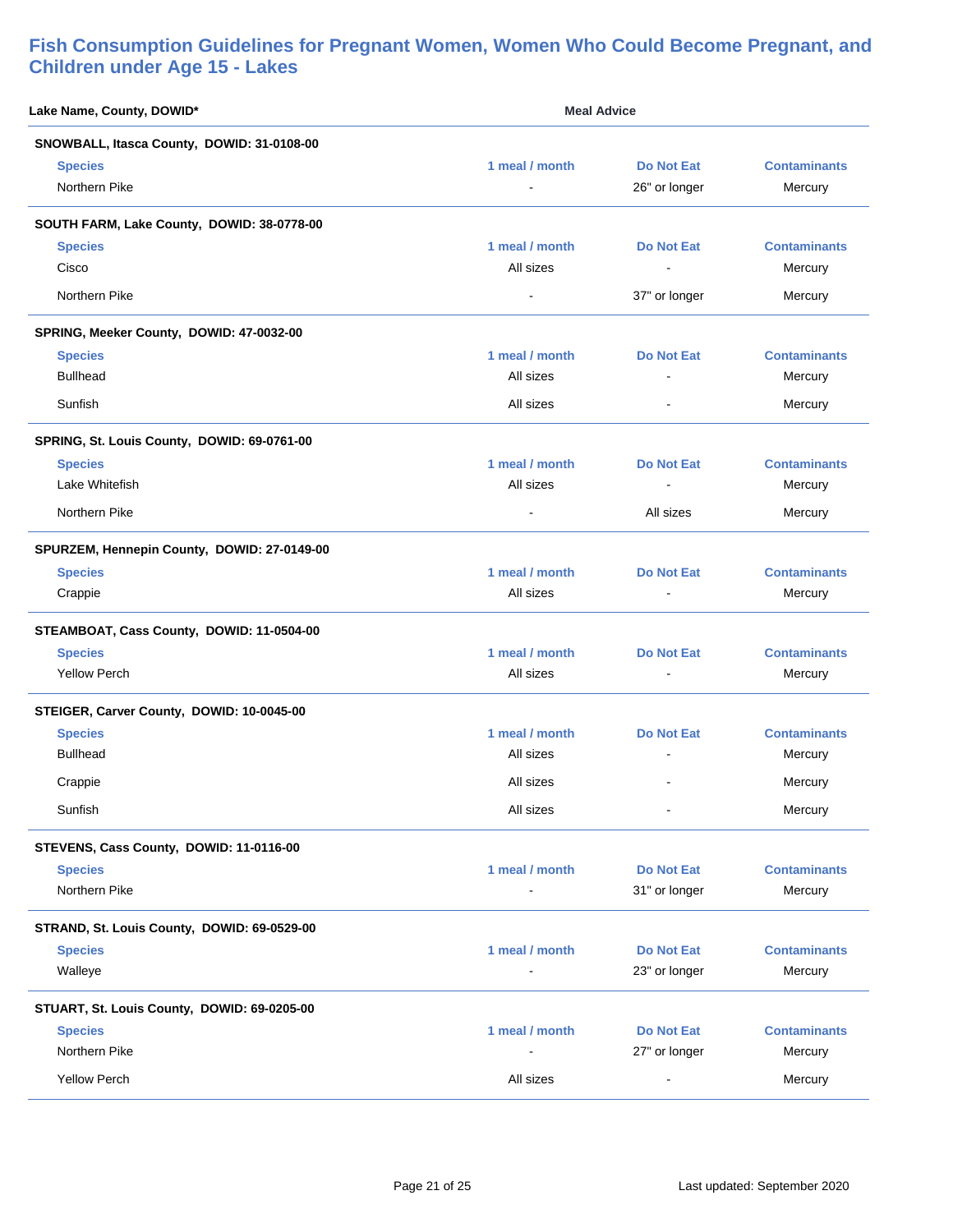| Lake Name, County, DOWID*                   | <b>Meal Advice</b> |                   |                     |
|---------------------------------------------|--------------------|-------------------|---------------------|
| SNOWBALL, Itasca County, DOWID: 31-0108-00  |                    |                   |                     |
| <b>Species</b>                              | 1 meal / month     | <b>Do Not Eat</b> | <b>Contaminants</b> |
| Northern Pike                               |                    | 26" or longer     | Mercury             |
| SOUTH FARM, Lake County, DOWID: 38-0778-00  |                    |                   |                     |
| <b>Species</b>                              | 1 meal / month     | Do Not Eat        | <b>Contaminants</b> |
| Cisco                                       | All sizes          | $\blacksquare$    | Mercury             |
| Northern Pike                               |                    | 37" or longer     | Mercury             |
| SPRING, Meeker County, DOWID: 47-0032-00    |                    |                   |                     |
| <b>Species</b>                              | 1 meal / month     | <b>Do Not Eat</b> | <b>Contaminants</b> |
| <b>Bullhead</b>                             | All sizes          | $\blacksquare$    | Mercury             |
| Sunfish                                     | All sizes          | $\blacksquare$    | Mercury             |
| SPRING, St. Louis County, DOWID: 69-0761-00 |                    |                   |                     |
| <b>Species</b>                              | 1 meal / month     | <b>Do Not Eat</b> | <b>Contaminants</b> |
| Lake Whitefish                              | All sizes          | $\blacksquare$    | Mercury             |
| Northern Pike                               | $\sim$             | All sizes         | Mercury             |
| SPURZEM, Hennepin County, DOWID: 27-0149-00 |                    |                   |                     |
| <b>Species</b>                              | 1 meal / month     | <b>Do Not Eat</b> | <b>Contaminants</b> |
| Crappie                                     | All sizes          | $\blacksquare$    | Mercury             |
| STEAMBOAT, Cass County, DOWID: 11-0504-00   |                    |                   |                     |
| <b>Species</b>                              | 1 meal / month     | Do Not Eat        | <b>Contaminants</b> |
| <b>Yellow Perch</b>                         | All sizes          | $\blacksquare$    | Mercury             |
| STEIGER, Carver County, DOWID: 10-0045-00   |                    |                   |                     |
| <b>Species</b>                              | 1 meal / month     | Do Not Eat        | <b>Contaminants</b> |
| <b>Bullhead</b>                             | All sizes          |                   | Mercury             |
| Crappie                                     | All sizes          | $\sim$            | Mercury             |
| Sunfish                                     | All sizes          |                   | Mercury             |
| STEVENS, Cass County, DOWID: 11-0116-00     |                    |                   |                     |
| <b>Species</b>                              | 1 meal / month     | <b>Do Not Eat</b> | <b>Contaminants</b> |
| Northern Pike                               | $\blacksquare$     | 31" or longer     | Mercury             |
| STRAND, St. Louis County, DOWID: 69-0529-00 |                    |                   |                     |
| <b>Species</b>                              | 1 meal / month     | <b>Do Not Eat</b> | <b>Contaminants</b> |
| Walleye                                     |                    | 23" or longer     | Mercury             |
| STUART, St. Louis County, DOWID: 69-0205-00 |                    |                   |                     |
| <b>Species</b>                              | 1 meal / month     | <b>Do Not Eat</b> | <b>Contaminants</b> |
| Northern Pike                               |                    | 27" or longer     | Mercury             |
| <b>Yellow Perch</b>                         | All sizes          | $\blacksquare$    | Mercury             |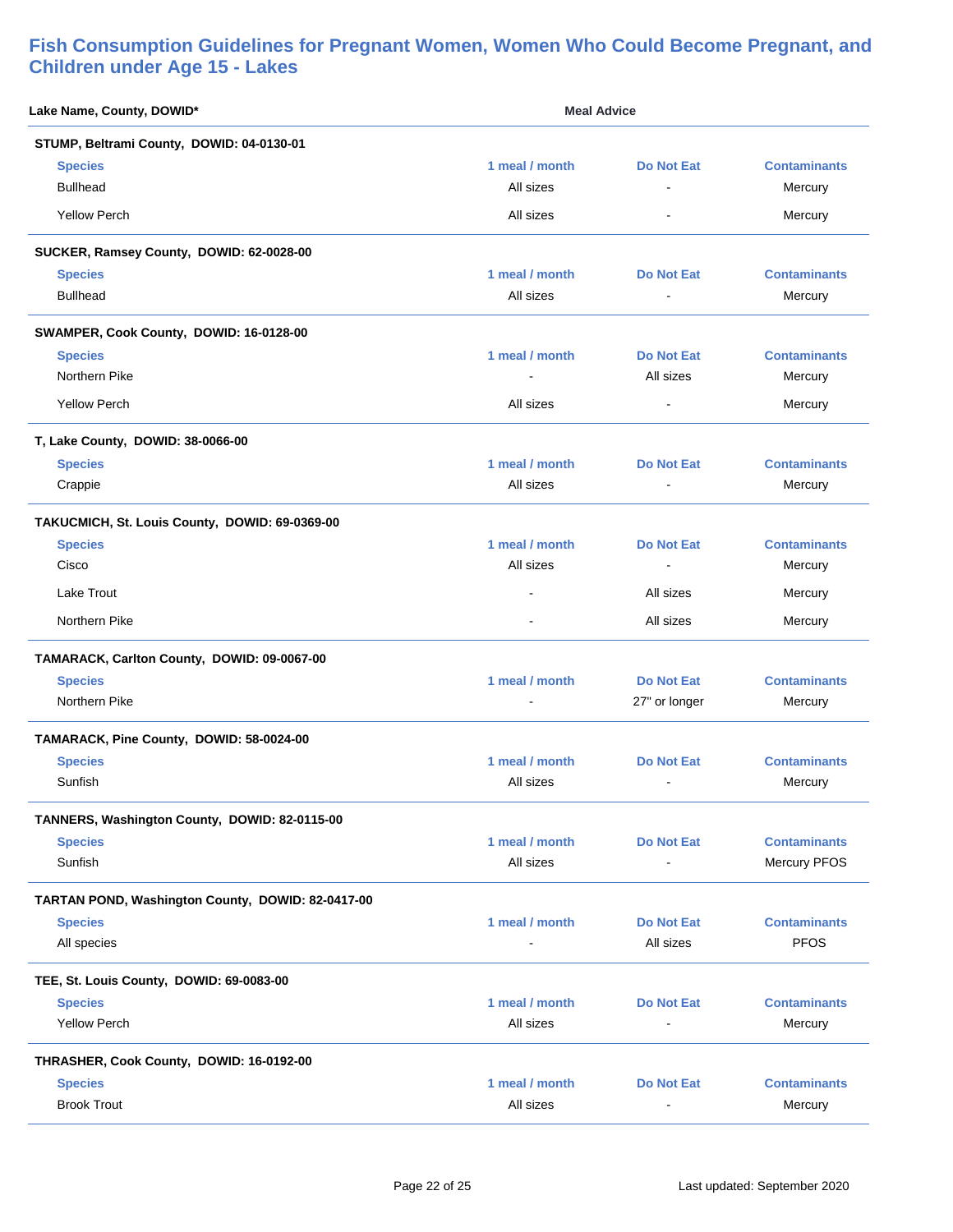| Lake Name, County, DOWID*                         | <b>Meal Advice</b> |                   |                     |
|---------------------------------------------------|--------------------|-------------------|---------------------|
| STUMP, Beltrami County, DOWID: 04-0130-01         |                    |                   |                     |
| <b>Species</b>                                    | 1 meal / month     | <b>Do Not Eat</b> | <b>Contaminants</b> |
| <b>Bullhead</b>                                   | All sizes          | L,                | Mercury             |
| <b>Yellow Perch</b>                               | All sizes          | $\blacksquare$    | Mercury             |
| SUCKER, Ramsey County, DOWID: 62-0028-00          |                    |                   |                     |
| <b>Species</b>                                    | 1 meal / month     | <b>Do Not Eat</b> | <b>Contaminants</b> |
| <b>Bullhead</b>                                   | All sizes          | $\blacksquare$    | Mercury             |
| SWAMPER, Cook County, DOWID: 16-0128-00           |                    |                   |                     |
| <b>Species</b>                                    | 1 meal / month     | <b>Do Not Eat</b> | <b>Contaminants</b> |
| Northern Pike                                     |                    | All sizes         | Mercury             |
| <b>Yellow Perch</b>                               | All sizes          | $\blacksquare$    | Mercury             |
| T, Lake County, DOWID: 38-0066-00                 |                    |                   |                     |
| <b>Species</b>                                    | 1 meal / month     | Do Not Eat        | <b>Contaminants</b> |
| Crappie                                           | All sizes          | $\blacksquare$    | Mercury             |
| TAKUCMICH, St. Louis County, DOWID: 69-0369-00    |                    |                   |                     |
| <b>Species</b>                                    | 1 meal / month     | <b>Do Not Eat</b> | <b>Contaminants</b> |
| Cisco                                             | All sizes          | $\blacksquare$    | Mercury             |
| Lake Trout                                        |                    | All sizes         | Mercury             |
| Northern Pike                                     | $\overline{a}$     | All sizes         | Mercury             |
| TAMARACK, Carlton County, DOWID: 09-0067-00       |                    |                   |                     |
| <b>Species</b>                                    | 1 meal / month     | <b>Do Not Eat</b> | <b>Contaminants</b> |
| Northern Pike                                     |                    | 27" or longer     | Mercury             |
| TAMARACK, Pine County, DOWID: 58-0024-00          |                    |                   |                     |
| <b>Species</b>                                    | 1 meal / month     | <b>Do Not Eat</b> | <b>Contaminants</b> |
| Sunfish                                           | All sizes          | $\blacksquare$    | Mercury             |
| TANNERS, Washington County, DOWID: 82-0115-00     |                    |                   |                     |
| <b>Species</b>                                    | 1 meal / month     | <b>Do Not Eat</b> | <b>Contaminants</b> |
| Sunfish                                           | All sizes          | $\blacksquare$    | <b>Mercury PFOS</b> |
| TARTAN POND, Washington County, DOWID: 82-0417-00 |                    |                   |                     |
| <b>Species</b>                                    | 1 meal / month     | <b>Do Not Eat</b> | <b>Contaminants</b> |
| All species                                       | $\blacksquare$     | All sizes         | <b>PFOS</b>         |
| TEE, St. Louis County, DOWID: 69-0083-00          |                    |                   |                     |
| <b>Species</b>                                    | 1 meal / month     | <b>Do Not Eat</b> | <b>Contaminants</b> |
| <b>Yellow Perch</b>                               | All sizes          | $\overline{a}$    | Mercury             |
| THRASHER, Cook County, DOWID: 16-0192-00          |                    |                   |                     |
| <b>Species</b>                                    | 1 meal / month     | <b>Do Not Eat</b> | <b>Contaminants</b> |
| <b>Brook Trout</b>                                | All sizes          |                   | Mercury             |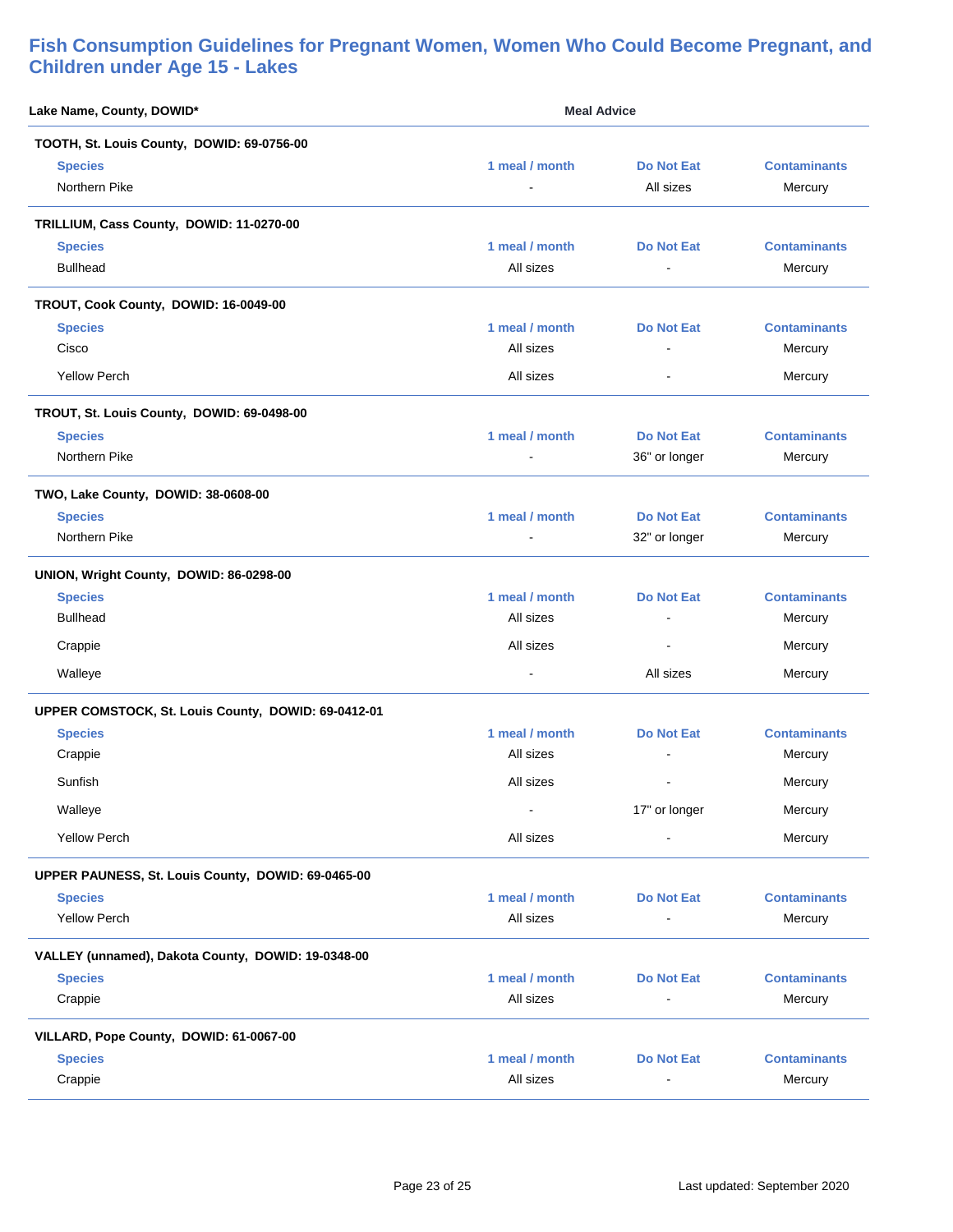| Lake Name, County, DOWID*                           | <b>Meal Advice</b> |                          |                     |
|-----------------------------------------------------|--------------------|--------------------------|---------------------|
| TOOTH, St. Louis County, DOWID: 69-0756-00          |                    |                          |                     |
| <b>Species</b>                                      | 1 meal / month     | <b>Do Not Eat</b>        | <b>Contaminants</b> |
| Northern Pike                                       |                    | All sizes                | Mercury             |
| TRILLIUM, Cass County, DOWID: 11-0270-00            |                    |                          |                     |
| <b>Species</b>                                      | 1 meal / month     | <b>Do Not Eat</b>        | <b>Contaminants</b> |
| <b>Bullhead</b>                                     | All sizes          | $\sim$                   | Mercury             |
| TROUT, Cook County, DOWID: 16-0049-00               |                    |                          |                     |
| <b>Species</b>                                      | 1 meal / month     | <b>Do Not Eat</b>        | <b>Contaminants</b> |
| Cisco                                               | All sizes          | L,                       | Mercury             |
| <b>Yellow Perch</b>                                 | All sizes          | $\blacksquare$           | Mercury             |
| TROUT, St. Louis County, DOWID: 69-0498-00          |                    |                          |                     |
| <b>Species</b>                                      | 1 meal / month     | <b>Do Not Eat</b>        | <b>Contaminants</b> |
| Northern Pike                                       | $\sim$             | 36" or longer            | Mercury             |
| TWO, Lake County, DOWID: 38-0608-00                 |                    |                          |                     |
| <b>Species</b>                                      | 1 meal / month     | <b>Do Not Eat</b>        | <b>Contaminants</b> |
| Northern Pike                                       |                    | 32" or longer            | Mercury             |
| UNION, Wright County, DOWID: 86-0298-00             |                    |                          |                     |
| <b>Species</b>                                      | 1 meal / month     | <b>Do Not Eat</b>        | <b>Contaminants</b> |
| <b>Bullhead</b>                                     | All sizes          | ÷                        | Mercury             |
| Crappie                                             | All sizes          | $\overline{\phantom{a}}$ | Mercury             |
| Walleye                                             |                    | All sizes                | Mercury             |
| UPPER COMSTOCK, St. Louis County, DOWID: 69-0412-01 |                    |                          |                     |
| <b>Species</b>                                      | 1 meal / month     | <b>Do Not Eat</b>        | <b>Contaminants</b> |
| Crappie                                             | All sizes          |                          | Mercury             |
| Sunfish                                             | All sizes          | ä,                       | Mercury             |
| Walleye                                             |                    | 17" or longer            | Mercury             |
| <b>Yellow Perch</b>                                 | All sizes          | $\blacksquare$           | Mercury             |
| UPPER PAUNESS, St. Louis County, DOWID: 69-0465-00  |                    |                          |                     |
| <b>Species</b>                                      | 1 meal / month     | <b>Do Not Eat</b>        | <b>Contaminants</b> |
| <b>Yellow Perch</b>                                 | All sizes          | $\blacksquare$           | Mercury             |
| VALLEY (unnamed), Dakota County, DOWID: 19-0348-00  |                    |                          |                     |
| <b>Species</b>                                      | 1 meal / month     | <b>Do Not Eat</b>        | <b>Contaminants</b> |
| Crappie                                             | All sizes          | $\blacksquare$           | Mercury             |
| VILLARD, Pope County, DOWID: 61-0067-00             |                    |                          |                     |
| <b>Species</b>                                      | 1 meal / month     | <b>Do Not Eat</b>        | <b>Contaminants</b> |
| Crappie                                             | All sizes          |                          | Mercury             |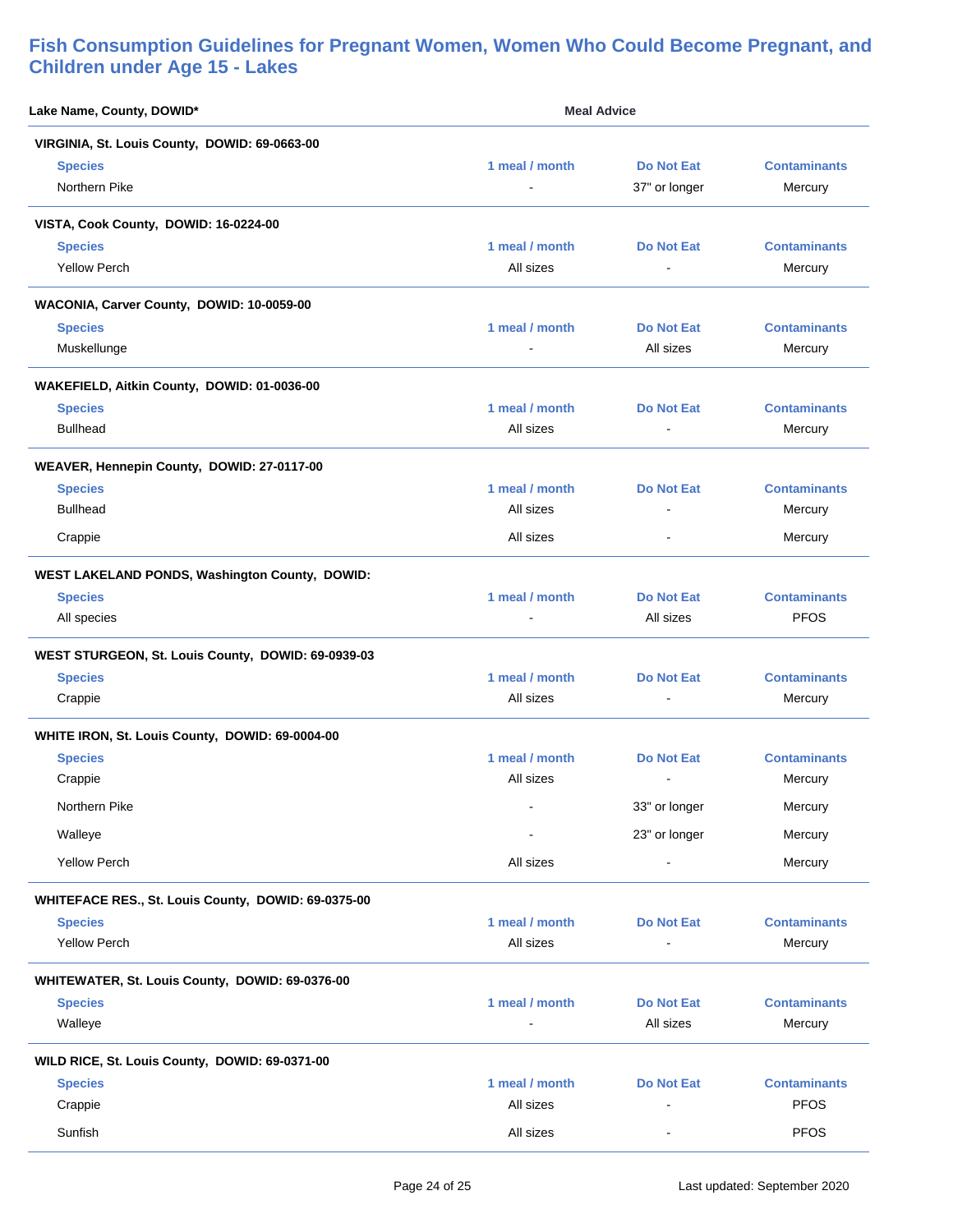| Lake Name, County, DOWID*                           | <b>Meal Advice</b>          |                                    |                                |
|-----------------------------------------------------|-----------------------------|------------------------------------|--------------------------------|
| VIRGINIA, St. Louis County, DOWID: 69-0663-00       |                             |                                    |                                |
| <b>Species</b><br>Northern Pike                     | 1 meal / month              | <b>Do Not Eat</b><br>37" or longer | <b>Contaminants</b><br>Mercury |
| VISTA, Cook County, DOWID: 16-0224-00               |                             |                                    |                                |
| <b>Species</b><br><b>Yellow Perch</b>               | 1 meal / month<br>All sizes | <b>Do Not Eat</b>                  | <b>Contaminants</b><br>Mercury |
| WACONIA, Carver County, DOWID: 10-0059-00           |                             |                                    |                                |
| <b>Species</b>                                      | 1 meal / month              | Do Not Eat                         | <b>Contaminants</b>            |
| Muskellunge                                         |                             | All sizes                          | Mercury                        |
| WAKEFIELD, Aitkin County, DOWID: 01-0036-00         |                             |                                    |                                |
| <b>Species</b>                                      | 1 meal / month              | <b>Do Not Eat</b>                  | <b>Contaminants</b>            |
| <b>Bullhead</b>                                     | All sizes                   | $\sim$                             | Mercury                        |
| WEAVER, Hennepin County, DOWID: 27-0117-00          |                             |                                    |                                |
| <b>Species</b>                                      | 1 meal / month              | Do Not Eat                         | <b>Contaminants</b>            |
| <b>Bullhead</b>                                     | All sizes                   | $\overline{\phantom{a}}$           | Mercury                        |
| Crappie                                             | All sizes                   | $\blacksquare$                     | Mercury                        |
| WEST LAKELAND PONDS, Washington County, DOWID:      |                             |                                    |                                |
| <b>Species</b>                                      | 1 meal / month              | <b>Do Not Eat</b>                  | <b>Contaminants</b>            |
| All species                                         |                             | All sizes                          | <b>PFOS</b>                    |
| WEST STURGEON, St. Louis County, DOWID: 69-0939-03  |                             |                                    |                                |
| <b>Species</b>                                      | 1 meal / month              | Do Not Eat                         | <b>Contaminants</b>            |
| Crappie                                             | All sizes                   |                                    | Mercury                        |
| WHITE IRON, St. Louis County, DOWID: 69-0004-00     |                             |                                    |                                |
| <b>Species</b>                                      | 1 meal / month              | <b>Do Not Eat</b>                  | <b>Contaminants</b>            |
| Crappie                                             | All sizes                   | $\blacksquare$                     | Mercury                        |
| Northern Pike                                       | $\blacksquare$              | 33" or longer                      | Mercury                        |
| Walleye                                             |                             | 23" or longer                      | Mercury                        |
| <b>Yellow Perch</b>                                 | All sizes                   |                                    | Mercury                        |
| WHITEFACE RES., St. Louis County, DOWID: 69-0375-00 |                             |                                    |                                |
| <b>Species</b>                                      | 1 meal / month              | <b>Do Not Eat</b>                  | <b>Contaminants</b>            |
| <b>Yellow Perch</b>                                 | All sizes                   | $\blacksquare$                     | Mercury                        |
| WHITEWATER, St. Louis County, DOWID: 69-0376-00     |                             |                                    |                                |
| <b>Species</b>                                      | 1 meal / month              | <b>Do Not Eat</b>                  | <b>Contaminants</b>            |
| Walleye                                             |                             | All sizes                          | Mercury                        |
| WILD RICE, St. Louis County, DOWID: 69-0371-00      |                             |                                    |                                |
| <b>Species</b>                                      | 1 meal / month              | <b>Do Not Eat</b>                  | <b>Contaminants</b>            |
| Crappie                                             | All sizes                   |                                    | <b>PFOS</b>                    |
| Sunfish                                             | All sizes                   | $\overline{\phantom{0}}$           | <b>PFOS</b>                    |